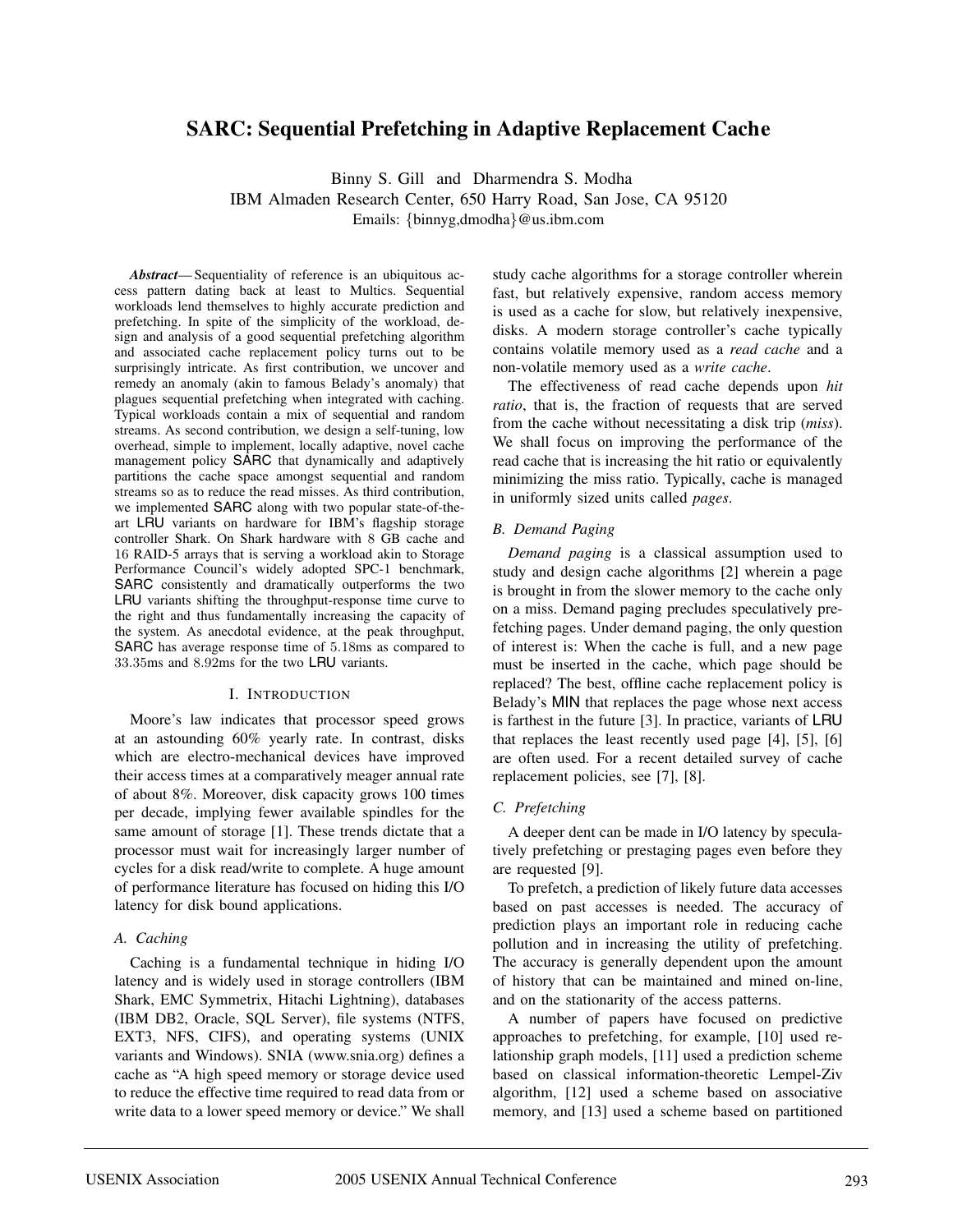# **SARC: Sequential Prefetching in Adaptive Replacement Cache**

Binny S. Gill and Dharmendra S. Modha IBM Almaden Research Center, 650 Harry Road, San Jose, CA 95120 Emails: {binnyg,dmodha}@us.ibm.com

*Abstract*— Sequentiality of reference is an ubiquitous access pattern dating back at least to Multics. Sequential workloads lend themselves to highly accurate prediction and prefetching. In spite of the simplicity of the workload, design and analysis of a good sequential prefetching algorithm and associated cache replacement policy turns out to be surprisingly intricate. As first contribution, we uncover and remedy an anomaly (akin to famous Belady's anomaly) that plagues sequential prefetching when integrated with caching. Typical workloads contain a mix of sequential and random streams. As second contribution, we design a self-tuning, low overhead, simple to implement, locally adaptive, novel cache management policy SARC that dynamically and adaptively partitions the cache space amongst sequential and random streams so as to reduce the read misses. As third contribution, we implemented SARC along with two popular state-of-theart LRU variants on hardware for IBM's flagship storage controller Shark. On Shark hardware with 8 GB cache and 16 RAID-5 arrays that is serving a workload akin to Storage Performance Council's widely adopted SPC-1 benchmark, SARC consistently and dramatically outperforms the two LRU variants shifting the throughput-response time curve to the right and thus fundamentally increasing the capacity of the system. As anecdotal evidence, at the peak throughput, SARC has average response time of 5.18ms as compared to 33.35ms and 8.92ms for the two LRU variants.

#### I. INTRODUCTION

Moore's law indicates that processor speed grows at an astounding 60% yearly rate. In contrast, disks which are electro-mechanical devices have improved their access times at a comparatively meager annual rate of about 8%. Moreover, disk capacity grows 100 times per decade, implying fewer available spindles for the same amount of storage [1]. These trends dictate that a processor must wait for increasingly larger number of cycles for a disk read/write to complete. A huge amount of performance literature has focused on hiding this I/O latency for disk bound applications.

#### *A. Caching*

Caching is a fundamental technique in hiding I/O latency and is widely used in storage controllers (IBM Shark, EMC Symmetrix, Hitachi Lightning), databases (IBM DB2, Oracle, SQL Server), file systems (NTFS, EXT3, NFS, CIFS), and operating systems (UNIX variants and Windows). SNIA (www.snia.org) defines a cache as "A high speed memory or storage device used to reduce the effective time required to read data from or write data to a lower speed memory or device." We shall study cache algorithms for a storage controller wherein fast, but relatively expensive, random access memory is used as a cache for slow, but relatively inexpensive, disks. A modern storage controller's cache typically contains volatile memory used as a *read cache* and a non-volatile memory used as a *write cache*.

The effectiveness of read cache depends upon *hit ratio*, that is, the fraction of requests that are served from the cache without necessitating a disk trip (*miss*). We shall focus on improving the performance of the read cache that is increasing the hit ratio or equivalently minimizing the miss ratio. Typically, cache is managed in uniformly sized units called *pages*.

## *B. Demand Paging*

*Demand paging* is a classical assumption used to study and design cache algorithms [2] wherein a page is brought in from the slower memory to the cache only on a miss. Demand paging precludes speculatively prefetching pages. Under demand paging, the only question of interest is: When the cache is full, and a new page must be inserted in the cache, which page should be replaced? The best, offline cache replacement policy is Belady's MIN that replaces the page whose next access is farthest in the future [3]. In practice, variants of LRU that replaces the least recently used page [4], [5], [6] are often used. For a recent detailed survey of cache replacement policies, see [7], [8].

## *C. Prefetching*

A deeper dent can be made in I/O latency by speculatively prefetching or prestaging pages even before they are requested [9].

To prefetch, a prediction of likely future data accesses based on past accesses is needed. The accuracy of prediction plays an important role in reducing cache pollution and in increasing the utility of prefetching. The accuracy is generally dependent upon the amount of history that can be maintained and mined on-line, and on the stationarity of the access patterns.

A number of papers have focused on predictive approaches to prefetching, for example, [10] used relationship graph models, [11] used a prediction scheme based on classical information-theoretic Lempel-Ziv algorithm, [12] used a scheme based on associative memory, and [13] used a scheme based on partitioned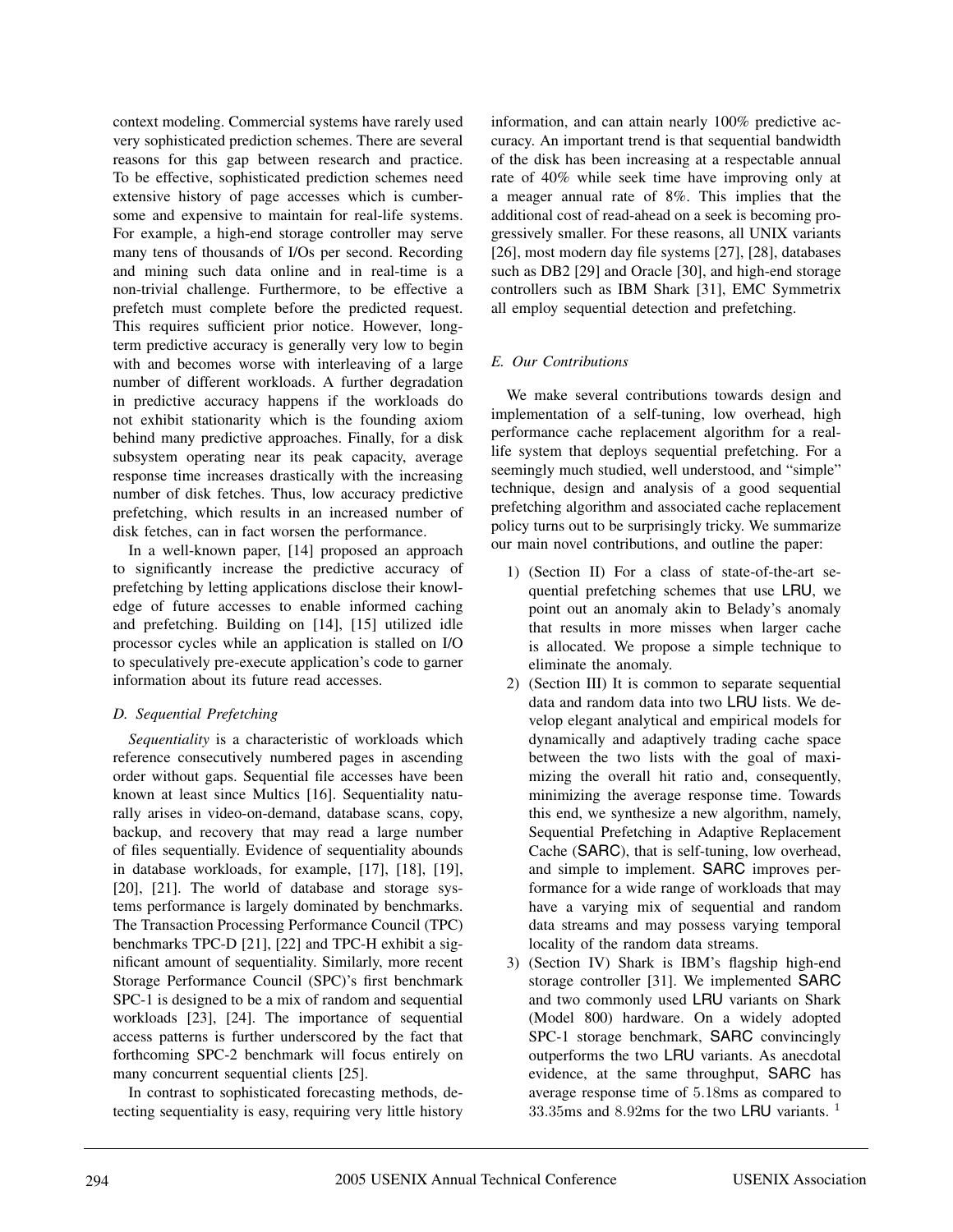context modeling. Commercial systems have rarely used very sophisticated prediction schemes. There are several reasons for this gap between research and practice. To be effective, sophisticated prediction schemes need extensive history of page accesses which is cumbersome and expensive to maintain for real-life systems. For example, a high-end storage controller may serve many tens of thousands of I/Os per second. Recording and mining such data online and in real-time is a non-trivial challenge. Furthermore, to be effective a prefetch must complete before the predicted request. This requires sufficient prior notice. However, longterm predictive accuracy is generally very low to begin with and becomes worse with interleaving of a large number of different workloads. A further degradation in predictive accuracy happens if the workloads do not exhibit stationarity which is the founding axiom behind many predictive approaches. Finally, for a disk subsystem operating near its peak capacity, average response time increases drastically with the increasing number of disk fetches. Thus, low accuracy predictive prefetching, which results in an increased number of disk fetches, can in fact worsen the performance.

In a well-known paper, [14] proposed an approach to significantly increase the predictive accuracy of prefetching by letting applications disclose their knowledge of future accesses to enable informed caching and prefetching. Building on [14], [15] utilized idle processor cycles while an application is stalled on I/O to speculatively pre-execute application's code to garner information about its future read accesses.

## *D. Sequential Prefetching*

*Sequentiality* is a characteristic of workloads which reference consecutively numbered pages in ascending order without gaps. Sequential file accesses have been known at least since Multics [16]. Sequentiality naturally arises in video-on-demand, database scans, copy, backup, and recovery that may read a large number of files sequentially. Evidence of sequentiality abounds in database workloads, for example, [17], [18], [19], [20], [21]. The world of database and storage systems performance is largely dominated by benchmarks. The Transaction Processing Performance Council (TPC) benchmarks TPC-D [21], [22] and TPC-H exhibit a significant amount of sequentiality. Similarly, more recent Storage Performance Council (SPC)'s first benchmark SPC-1 is designed to be a mix of random and sequential workloads [23], [24]. The importance of sequential access patterns is further underscored by the fact that forthcoming SPC-2 benchmark will focus entirely on many concurrent sequential clients [25].

In contrast to sophisticated forecasting methods, detecting sequentiality is easy, requiring very little history information, and can attain nearly 100% predictive accuracy. An important trend is that sequential bandwidth of the disk has been increasing at a respectable annual rate of 40% while seek time have improving only at a meager annual rate of 8%. This implies that the additional cost of read-ahead on a seek is becoming progressively smaller. For these reasons, all UNIX variants [26], most modern day file systems [27], [28], databases such as DB2 [29] and Oracle [30], and high-end storage controllers such as IBM Shark [31], EMC Symmetrix all employ sequential detection and prefetching.

## *E. Our Contributions*

We make several contributions towards design and implementation of a self-tuning, low overhead, high performance cache replacement algorithm for a reallife system that deploys sequential prefetching. For a seemingly much studied, well understood, and "simple" technique, design and analysis of a good sequential prefetching algorithm and associated cache replacement policy turns out to be surprisingly tricky. We summarize our main novel contributions, and outline the paper:

- 1) (Section II) For a class of state-of-the-art sequential prefetching schemes that use LRU, we point out an anomaly akin to Belady's anomaly that results in more misses when larger cache is allocated. We propose a simple technique to eliminate the anomaly.
- 2) (Section III) It is common to separate sequential data and random data into two LRU lists. We develop elegant analytical and empirical models for dynamically and adaptively trading cache space between the two lists with the goal of maximizing the overall hit ratio and, consequently, minimizing the average response time. Towards this end, we synthesize a new algorithm, namely, Sequential Prefetching in Adaptive Replacement Cache (SARC), that is self-tuning, low overhead, and simple to implement. SARC improves performance for a wide range of workloads that may have a varying mix of sequential and random data streams and may possess varying temporal locality of the random data streams.
- 3) (Section IV) Shark is IBM's flagship high-end storage controller [31]. We implemented SARC and two commonly used LRU variants on Shark (Model 800) hardware. On a widely adopted SPC-1 storage benchmark, SARC convincingly outperforms the two LRU variants. As anecdotal evidence, at the same throughput, SARC has average response time of 5.18ms as compared to 33.35ms and 8.92ms for the two LRU variants.  $1$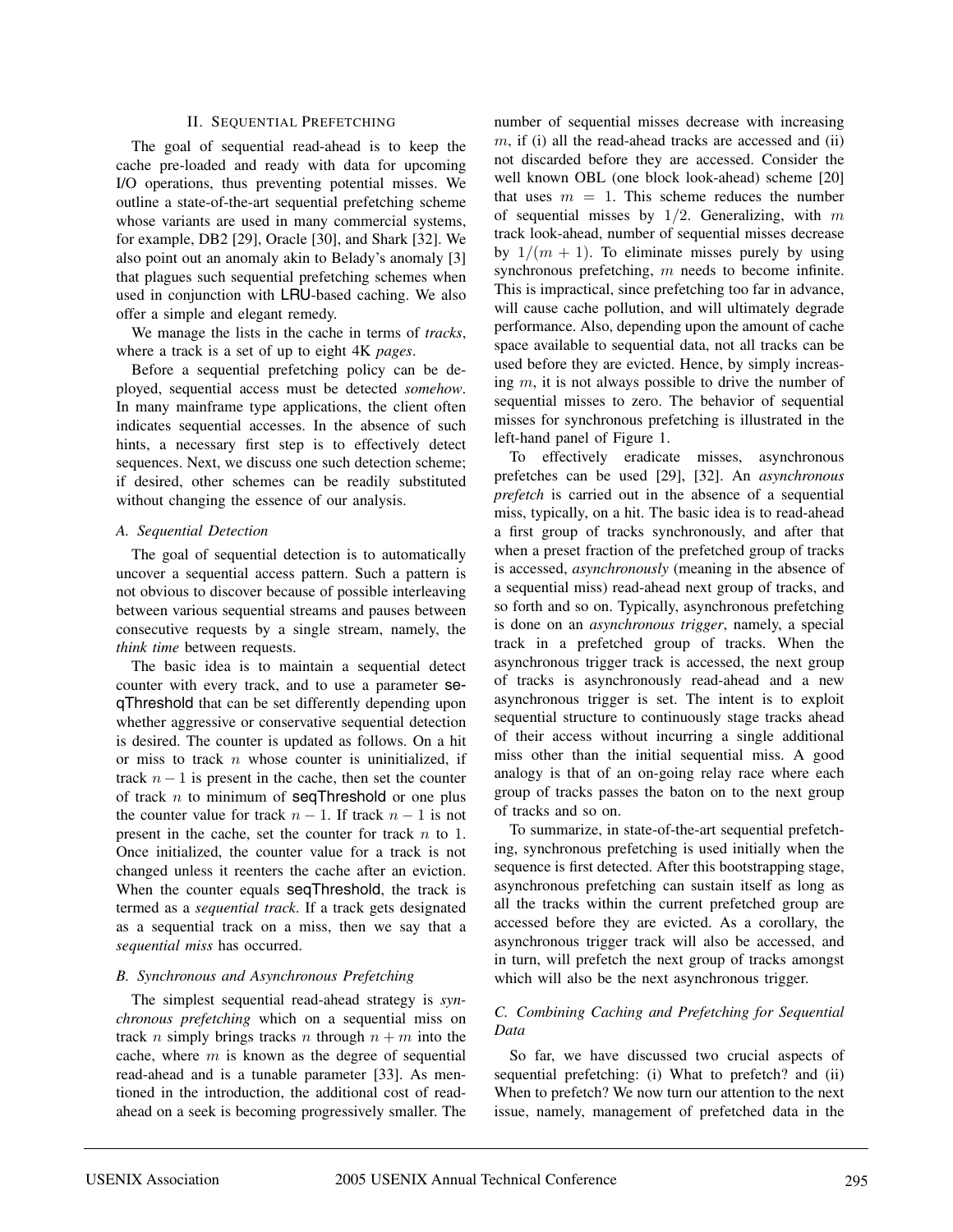#### II. SEQUENTIAL PREFETCHING

The goal of sequential read-ahead is to keep the cache pre-loaded and ready with data for upcoming I/O operations, thus preventing potential misses. We outline a state-of-the-art sequential prefetching scheme whose variants are used in many commercial systems, for example, DB2 [29], Oracle [30], and Shark [32]. We also point out an anomaly akin to Belady's anomaly [3] that plagues such sequential prefetching schemes when used in conjunction with LRU-based caching. We also offer a simple and elegant remedy.

We manage the lists in the cache in terms of *tracks*, where a track is a set of up to eight 4K *pages*.

Before a sequential prefetching policy can be deployed, sequential access must be detected *somehow*. In many mainframe type applications, the client often indicates sequential accesses. In the absence of such hints, a necessary first step is to effectively detect sequences. Next, we discuss one such detection scheme; if desired, other schemes can be readily substituted without changing the essence of our analysis.

#### *A. Sequential Detection*

The goal of sequential detection is to automatically uncover a sequential access pattern. Such a pattern is not obvious to discover because of possible interleaving between various sequential streams and pauses between consecutive requests by a single stream, namely, the *think time* between requests.

The basic idea is to maintain a sequential detect counter with every track, and to use a parameter seqThreshold that can be set differently depending upon whether aggressive or conservative sequential detection is desired. The counter is updated as follows. On a hit or miss to track  $n$  whose counter is uninitialized, if track  $n - 1$  is present in the cache, then set the counter of track  $n$  to minimum of seqThreshold or one plus the counter value for track  $n - 1$ . If track  $n - 1$  is not present in the cache, set the counter for track  $n$  to 1. Once initialized, the counter value for a track is not changed unless it reenters the cache after an eviction. When the counter equals seqThreshold, the track is termed as a *sequential track*. If a track gets designated as a sequential track on a miss, then we say that a *sequential miss* has occurred.

#### *B. Synchronous and Asynchronous Prefetching*

The simplest sequential read-ahead strategy is *synchronous prefetching* which on a sequential miss on track n simply brings tracks n through  $n + m$  into the cache, where  $m$  is known as the degree of sequential read-ahead and is a tunable parameter [33]. As mentioned in the introduction, the additional cost of readahead on a seek is becoming progressively smaller. The

number of sequential misses decrease with increasing  $m$ , if (i) all the read-ahead tracks are accessed and (ii) not discarded before they are accessed. Consider the well known OBL (one block look-ahead) scheme [20] that uses  $m = 1$ . This scheme reduces the number of sequential misses by  $1/2$ . Generalizing, with m track look-ahead, number of sequential misses decrease by  $1/(m + 1)$ . To eliminate misses purely by using synchronous prefetching, m needs to become infinite. This is impractical, since prefetching too far in advance, will cause cache pollution, and will ultimately degrade performance. Also, depending upon the amount of cache space available to sequential data, not all tracks can be used before they are evicted. Hence, by simply increasing m, it is not always possible to drive the number of sequential misses to zero. The behavior of sequential misses for synchronous prefetching is illustrated in the left-hand panel of Figure 1.

To effectively eradicate misses, asynchronous prefetches can be used [29], [32]. An *asynchronous prefetch* is carried out in the absence of a sequential miss, typically, on a hit. The basic idea is to read-ahead a first group of tracks synchronously, and after that when a preset fraction of the prefetched group of tracks is accessed, *asynchronously* (meaning in the absence of a sequential miss) read-ahead next group of tracks, and so forth and so on. Typically, asynchronous prefetching is done on an *asynchronous trigger*, namely, a special track in a prefetched group of tracks. When the asynchronous trigger track is accessed, the next group of tracks is asynchronously read-ahead and a new asynchronous trigger is set. The intent is to exploit sequential structure to continuously stage tracks ahead of their access without incurring a single additional miss other than the initial sequential miss. A good analogy is that of an on-going relay race where each group of tracks passes the baton on to the next group of tracks and so on.

To summarize, in state-of-the-art sequential prefetching, synchronous prefetching is used initially when the sequence is first detected. After this bootstrapping stage, asynchronous prefetching can sustain itself as long as all the tracks within the current prefetched group are accessed before they are evicted. As a corollary, the asynchronous trigger track will also be accessed, and in turn, will prefetch the next group of tracks amongst which will also be the next asynchronous trigger.

## *C. Combining Caching and Prefetching for Sequential Data*

So far, we have discussed two crucial aspects of sequential prefetching: (i) What to prefetch? and (ii) When to prefetch? We now turn our attention to the next issue, namely, management of prefetched data in the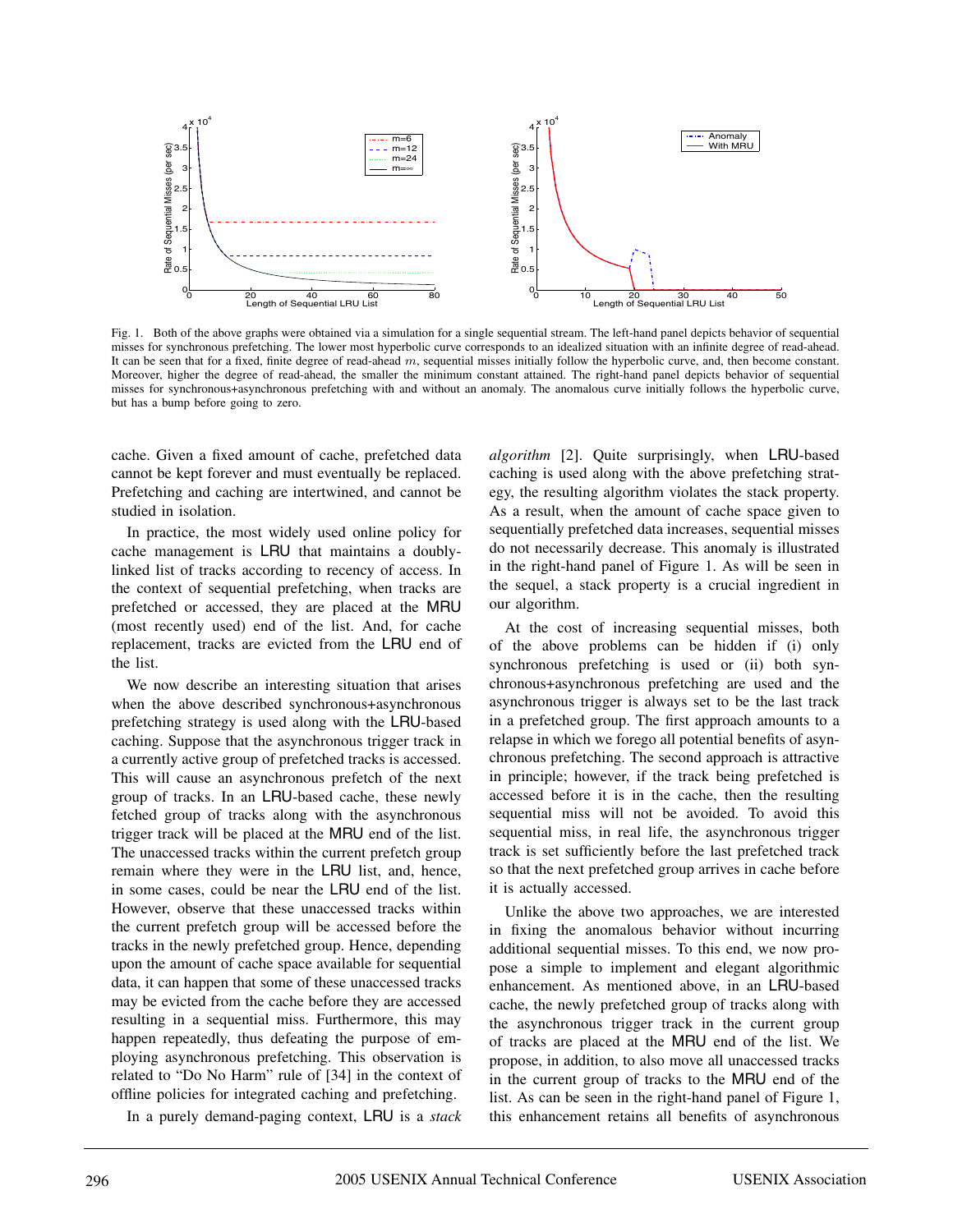

Fig. 1. Both of the above graphs were obtained via a simulation for a single sequential stream. The left-hand panel depicts behavior of sequential misses for synchronous prefetching. The lower most hyperbolic curve corresponds to an idealized situation with an infinite degree of read-ahead. It can be seen that for a fixed, finite degree of read-ahead m, sequential misses initially follow the hyperbolic curve, and, then become constant. Moreover, higher the degree of read-ahead, the smaller the minimum constant attained. The right-hand panel depicts behavior of sequential misses for synchronous+asynchronous prefetching with and without an anomaly. The anomalous curve initially follows the hyperbolic curve, but has a bump before going to zero.

cache. Given a fixed amount of cache, prefetched data cannot be kept forever and must eventually be replaced. Prefetching and caching are intertwined, and cannot be studied in isolation.

In practice, the most widely used online policy for cache management is LRU that maintains a doublylinked list of tracks according to recency of access. In the context of sequential prefetching, when tracks are prefetched or accessed, they are placed at the MRU (most recently used) end of the list. And, for cache replacement, tracks are evicted from the LRU end of the list.

We now describe an interesting situation that arises when the above described synchronous+asynchronous prefetching strategy is used along with the LRU-based caching. Suppose that the asynchronous trigger track in a currently active group of prefetched tracks is accessed. This will cause an asynchronous prefetch of the next group of tracks. In an LRU-based cache, these newly fetched group of tracks along with the asynchronous trigger track will be placed at the MRU end of the list. The unaccessed tracks within the current prefetch group remain where they were in the LRU list, and, hence, in some cases, could be near the LRU end of the list. However, observe that these unaccessed tracks within the current prefetch group will be accessed before the tracks in the newly prefetched group. Hence, depending upon the amount of cache space available for sequential data, it can happen that some of these unaccessed tracks may be evicted from the cache before they are accessed resulting in a sequential miss. Furthermore, this may happen repeatedly, thus defeating the purpose of employing asynchronous prefetching. This observation is related to "Do No Harm" rule of [34] in the context of offline policies for integrated caching and prefetching.

In a purely demand-paging context, LRU is a *stack*

*algorithm* [2]. Quite surprisingly, when LRU-based caching is used along with the above prefetching strategy, the resulting algorithm violates the stack property. As a result, when the amount of cache space given to sequentially prefetched data increases, sequential misses do not necessarily decrease. This anomaly is illustrated in the right-hand panel of Figure 1. As will be seen in the sequel, a stack property is a crucial ingredient in our algorithm.

At the cost of increasing sequential misses, both of the above problems can be hidden if (i) only synchronous prefetching is used or (ii) both synchronous+asynchronous prefetching are used and the asynchronous trigger is always set to be the last track in a prefetched group. The first approach amounts to a relapse in which we forego all potential benefits of asynchronous prefetching. The second approach is attractive in principle; however, if the track being prefetched is accessed before it is in the cache, then the resulting sequential miss will not be avoided. To avoid this sequential miss, in real life, the asynchronous trigger track is set sufficiently before the last prefetched track so that the next prefetched group arrives in cache before it is actually accessed.

Unlike the above two approaches, we are interested in fixing the anomalous behavior without incurring additional sequential misses. To this end, we now propose a simple to implement and elegant algorithmic enhancement. As mentioned above, in an LRU-based cache, the newly prefetched group of tracks along with the asynchronous trigger track in the current group of tracks are placed at the MRU end of the list. We propose, in addition, to also move all unaccessed tracks in the current group of tracks to the MRU end of the list. As can be seen in the right-hand panel of Figure 1, this enhancement retains all benefits of asynchronous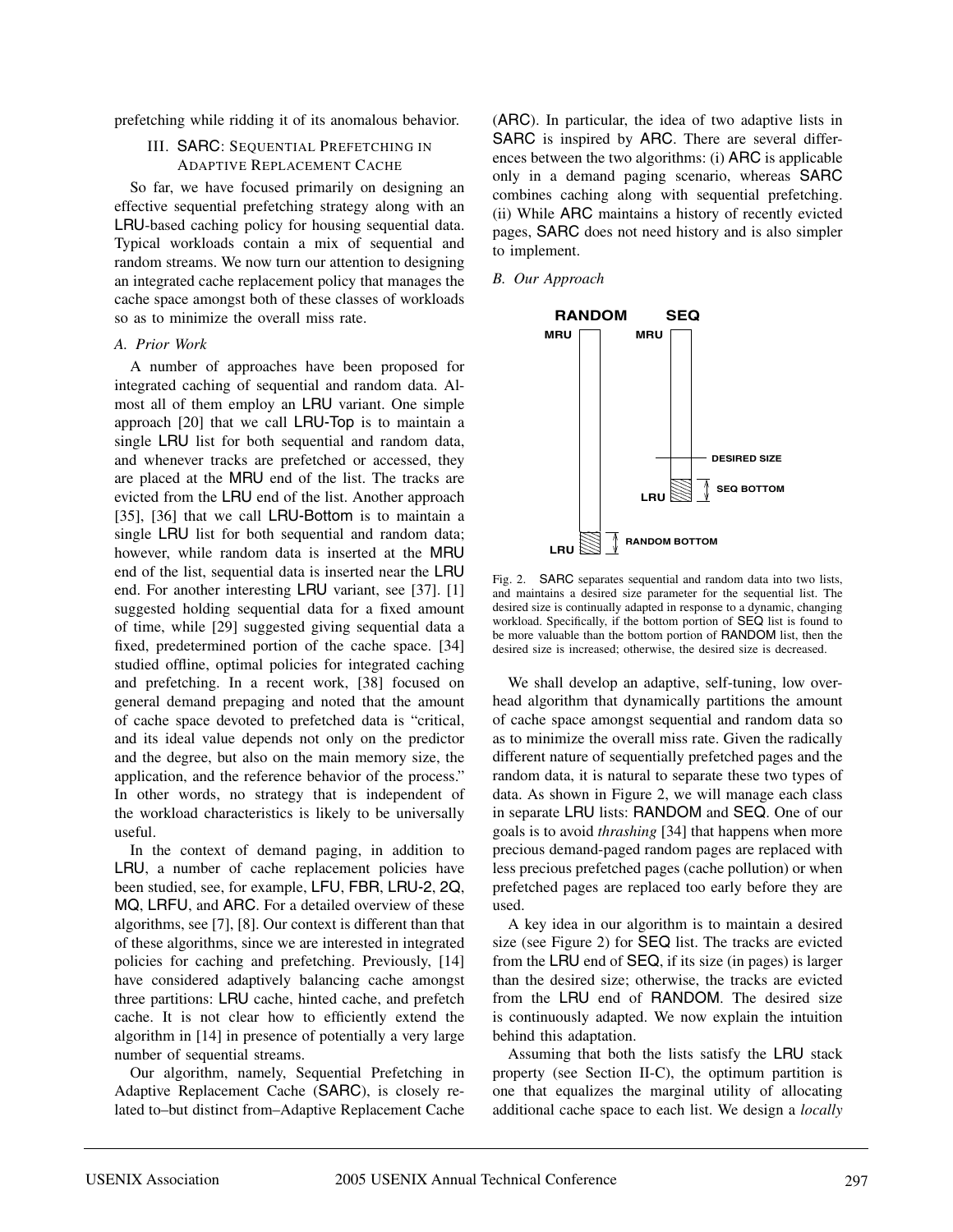prefetching while ridding it of its anomalous behavior.

## III. SARC: SEQUENTIAL PREFETCHING IN ADAPTIVE REPLACEMENT CACHE

So far, we have focused primarily on designing an effective sequential prefetching strategy along with an LRU-based caching policy for housing sequential data. Typical workloads contain a mix of sequential and random streams. We now turn our attention to designing an integrated cache replacement policy that manages the cache space amongst both of these classes of workloads so as to minimize the overall miss rate.

#### *A. Prior Work*

A number of approaches have been proposed for integrated caching of sequential and random data. Almost all of them employ an LRU variant. One simple approach [20] that we call LRU-Top is to maintain a single LRU list for both sequential and random data, and whenever tracks are prefetched or accessed, they are placed at the MRU end of the list. The tracks are evicted from the LRU end of the list. Another approach [35], [36] that we call LRU-Bottom is to maintain a single LRU list for both sequential and random data; however, while random data is inserted at the MRU end of the list, sequential data is inserted near the LRU end. For another interesting LRU variant, see [37]. [1] suggested holding sequential data for a fixed amount of time, while [29] suggested giving sequential data a fixed, predetermined portion of the cache space. [34] studied offline, optimal policies for integrated caching and prefetching. In a recent work, [38] focused on general demand prepaging and noted that the amount of cache space devoted to prefetched data is "critical, and its ideal value depends not only on the predictor and the degree, but also on the main memory size, the application, and the reference behavior of the process." In other words, no strategy that is independent of the workload characteristics is likely to be universally useful.

In the context of demand paging, in addition to LRU, a number of cache replacement policies have been studied, see, for example, LFU, FBR, LRU-2, 2Q, MQ, LRFU, and ARC. For a detailed overview of these algorithms, see [7], [8]. Our context is different than that of these algorithms, since we are interested in integrated policies for caching and prefetching. Previously, [14] have considered adaptively balancing cache amongst three partitions: LRU cache, hinted cache, and prefetch cache. It is not clear how to efficiently extend the algorithm in [14] in presence of potentially a very large number of sequential streams.

Our algorithm, namely, Sequential Prefetching in Adaptive Replacement Cache (SARC), is closely related to–but distinct from–Adaptive Replacement Cache (ARC). In particular, the idea of two adaptive lists in SARC is inspired by ARC. There are several differences between the two algorithms: (i) ARC is applicable only in a demand paging scenario, whereas SARC combines caching along with sequential prefetching. (ii) While ARC maintains a history of recently evicted pages, SARC does not need history and is also simpler to implement.

#### *B. Our Approach*



Fig. 2. SARC separates sequential and random data into two lists, and maintains a desired size parameter for the sequential list. The desired size is continually adapted in response to a dynamic, changing workload. Specifically, if the bottom portion of SEQ list is found to be more valuable than the bottom portion of RANDOM list, then the desired size is increased; otherwise, the desired size is decreased.

We shall develop an adaptive, self-tuning, low overhead algorithm that dynamically partitions the amount of cache space amongst sequential and random data so as to minimize the overall miss rate. Given the radically different nature of sequentially prefetched pages and the random data, it is natural to separate these two types of data. As shown in Figure 2, we will manage each class in separate LRU lists: RANDOM and SEQ. One of our goals is to avoid *thrashing* [34] that happens when more precious demand-paged random pages are replaced with less precious prefetched pages (cache pollution) or when prefetched pages are replaced too early before they are used.

A key idea in our algorithm is to maintain a desired size (see Figure 2) for SEQ list. The tracks are evicted from the LRU end of SEQ, if its size (in pages) is larger than the desired size; otherwise, the tracks are evicted from the LRU end of RANDOM. The desired size is continuously adapted. We now explain the intuition behind this adaptation.

Assuming that both the lists satisfy the LRU stack property (see Section II-C), the optimum partition is one that equalizes the marginal utility of allocating additional cache space to each list. We design a *locally*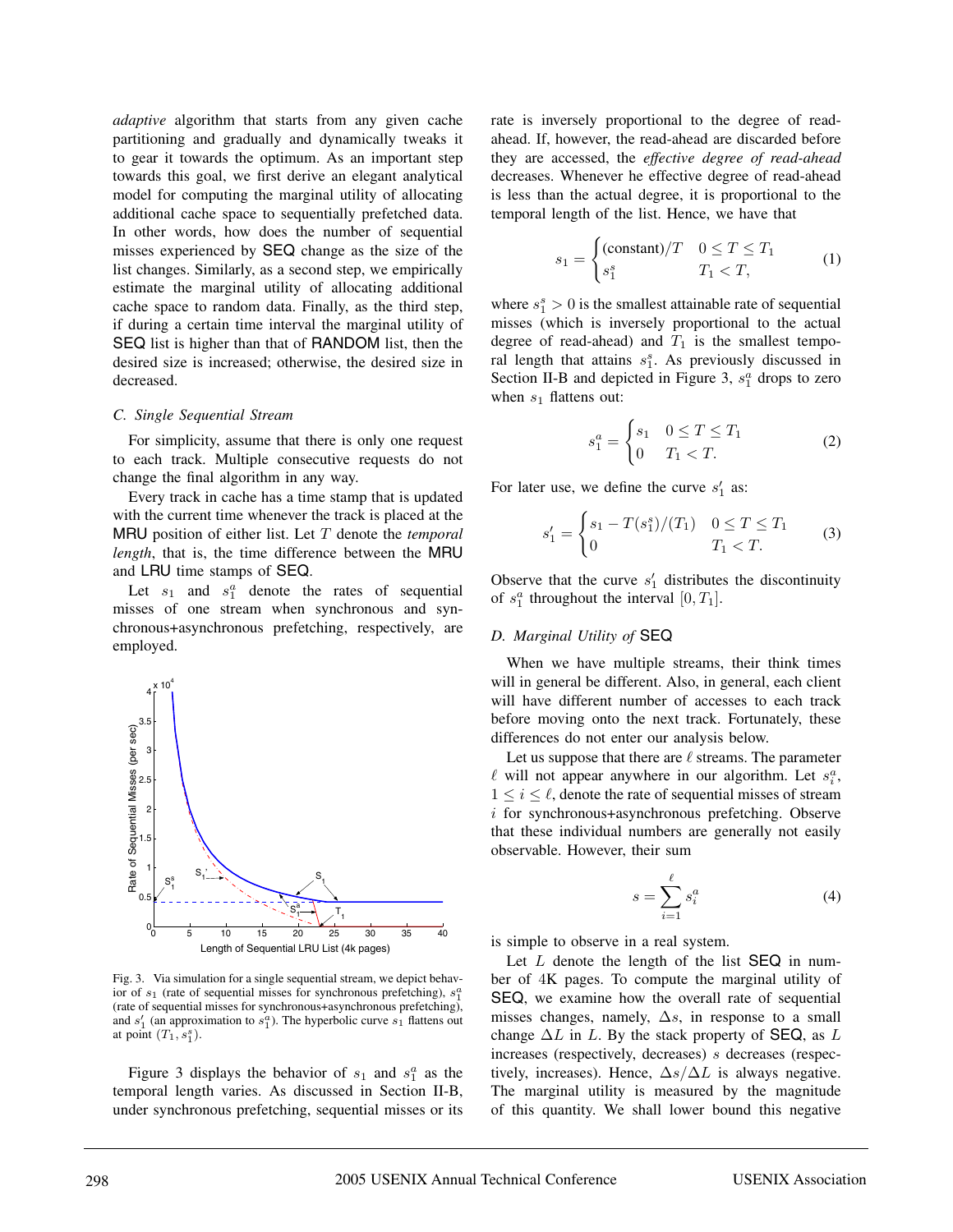*adaptive* algorithm that starts from any given cache partitioning and gradually and dynamically tweaks it to gear it towards the optimum. As an important step towards this goal, we first derive an elegant analytical model for computing the marginal utility of allocating additional cache space to sequentially prefetched data. In other words, how does the number of sequential misses experienced by SEQ change as the size of the list changes. Similarly, as a second step, we empirically estimate the marginal utility of allocating additional cache space to random data. Finally, as the third step, if during a certain time interval the marginal utility of SEQ list is higher than that of RANDOM list, then the desired size is increased; otherwise, the desired size in decreased.

#### *C. Single Sequential Stream*

For simplicity, assume that there is only one request to each track. Multiple consecutive requests do not change the final algorithm in any way.

Every track in cache has a time stamp that is updated with the current time whenever the track is placed at the MRU position of either list. Let T denote the *temporal length*, that is, the time difference between the MRU and LRU time stamps of SEQ.

Let  $s_1$  and  $s_1^a$  denote the rates of sequential misses of one stream when synchronous and synchronous+asynchronous prefetching, respectively, are employed.



Fig. 3. Via simulation for a single sequential stream, we depict behavior of  $s_1$  (rate of sequential misses for synchronous prefetching),  $s_1^a$ (rate of sequential misses for synchronous+asynchronous prefetching), and  $s'_1$  (an approximation to  $s_1^a$ ). The hyperbolic curve  $s_1$  flattens out at point  $(T_1, s_1^s)$ .

Figure 3 displays the behavior of  $s_1$  and  $s_1^a$  as the temporal length varies. As discussed in Section II-B, under synchronous prefetching, sequential misses or its rate is inversely proportional to the degree of readahead. If, however, the read-ahead are discarded before they are accessed, the *effective degree of read-ahead* decreases. Whenever he effective degree of read-ahead is less than the actual degree, it is proportional to the temporal length of the list. Hence, we have that

$$
s_1 = \begin{cases} (\text{constant})/T & 0 \le T \le T_1 \\ s_1^s & T_1 < T, \end{cases} \tag{1}
$$

where  $s_1^s > 0$  is the smallest attainable rate of sequential misses (which is inversely proportional to the actual degree of read-ahead) and  $T_1$  is the smallest temporal length that attains  $s_1^s$ . As previously discussed in Section II-B and depicted in Figure 3,  $s_1^a$  drops to zero when  $s_1$  flattens out:

$$
s_1^a = \begin{cases} s_1 & 0 \le T \le T_1 \\ 0 & T_1 < T. \end{cases} \tag{2}
$$

For later use, we define the curve  $s'_1$  as:

$$
s_1' = \begin{cases} s_1 - T(s_1^s)/(T_1) & 0 \le T \le T_1 \\ 0 & T_1 < T. \end{cases} \tag{3}
$$

Observe that the curve  $s'_1$  distributes the discontinuity of  $s_1^a$  throughout the interval  $[0, T_1]$ .

#### *D. Marginal Utility of* SEQ

When we have multiple streams, their think times will in general be different. Also, in general, each client will have different number of accesses to each track before moving onto the next track. Fortunately, these differences do not enter our analysis below.

Let us suppose that there are  $\ell$  streams. The parameter  $\ell$  will not appear anywhere in our algorithm. Let  $s_i^a$ ,  $1 \leq i \leq \ell$ , denote the rate of sequential misses of stream i for synchronous+asynchronous prefetching. Observe that these individual numbers are generally not easily observable. However, their sum

$$
s = \sum_{i=1}^{\ell} s_i^a \tag{4}
$$

is simple to observe in a real system.

Let  $L$  denote the length of the list  $SEQ$  in number of 4K pages. To compute the marginal utility of SEQ, we examine how the overall rate of sequential misses changes, namely,  $\Delta s$ , in response to a small change  $\Delta L$  in L. By the stack property of SEQ, as L increases (respectively, decreases) s decreases (respectively, increases). Hence,  $\Delta s/\Delta L$  is always negative. The marginal utility is measured by the magnitude of this quantity. We shall lower bound this negative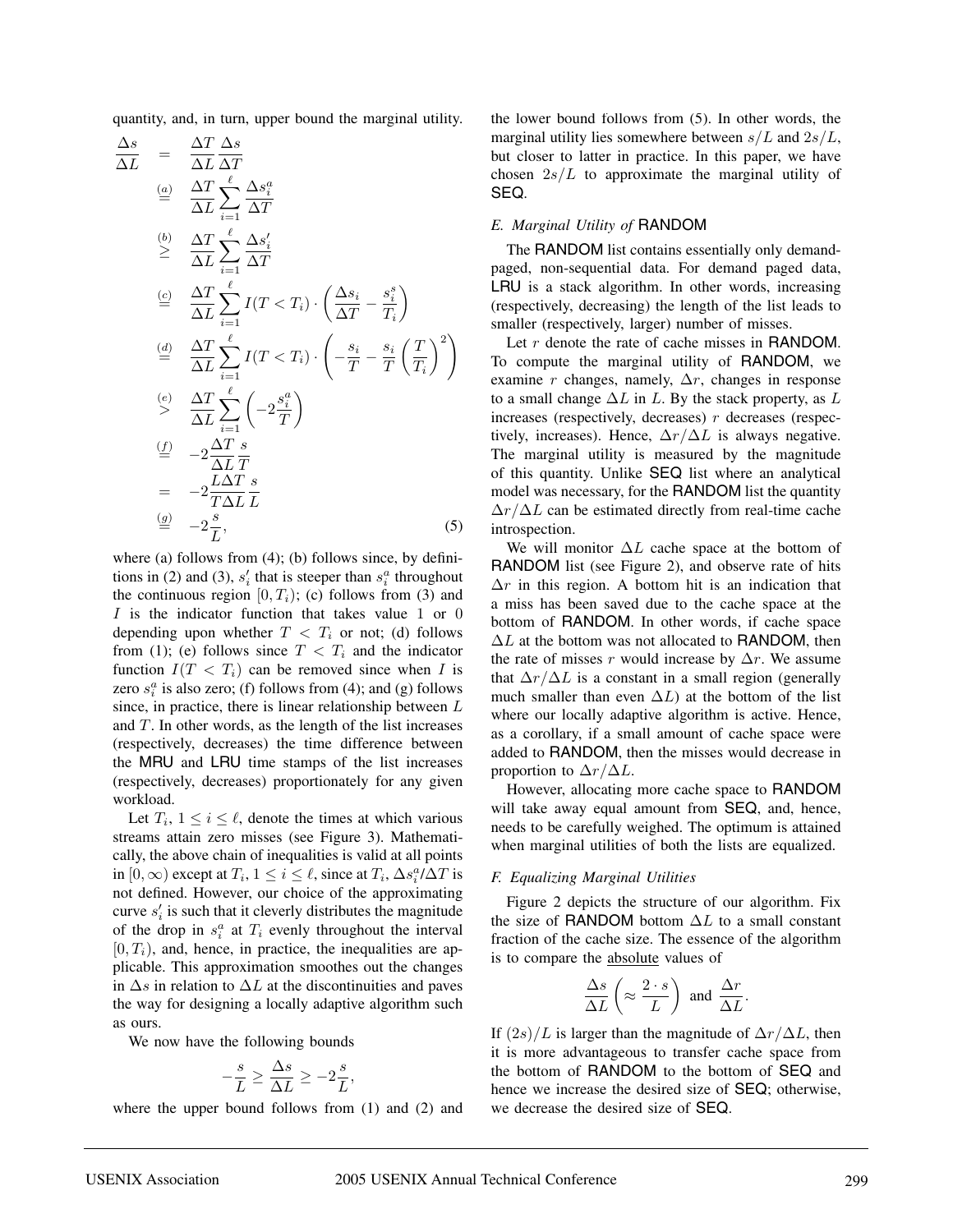quantity, and, in turn, upper bound the marginal utility.

$$
\frac{\Delta s}{\Delta L} = \frac{\Delta T}{\Delta L} \frac{\Delta s}{\Delta T}
$$
\n
$$
\stackrel{(a)}{=} \frac{\Delta T}{\Delta L} \sum_{i=1}^{\ell} \frac{\Delta s_i^a}{\Delta T}
$$
\n
$$
\stackrel{(b)}{\geq} \frac{\Delta T}{\Delta L} \sum_{i=1}^{\ell} \frac{\Delta s_i'}{\Delta T}
$$
\n
$$
\stackrel{(c)}{=} \frac{\Delta T}{\Delta L} \sum_{i=1}^{\ell} I(T < T_i) \cdot \left(\frac{\Delta s_i}{\Delta T} - \frac{s_i^s}{T_i}\right)
$$
\n
$$
\stackrel{(d)}{=} \frac{\Delta T}{\Delta L} \sum_{i=1}^{\ell} I(T < T_i) \cdot \left(-\frac{s_i}{T} - \frac{s_i}{T} \left(\frac{T}{T_i}\right)^2\right)
$$
\n
$$
\stackrel{(e)}{\geq} \frac{\Delta T}{\Delta L} \sum_{i=1}^{\ell} \left(-2\frac{s_i^a}{T}\right)
$$
\n
$$
\stackrel{(f)}{=} -2\frac{\Delta T}{\Delta L} \frac{s}{T}
$$
\n
$$
= -2\frac{L\Delta T}{T\Delta L} \frac{s}{L}
$$
\n
$$
\stackrel{(g)}{=} -2\frac{s}{L}, \tag{5}
$$

where (a) follows from  $(4)$ ; (b) follows since, by definitions in (2) and (3),  $s_i'$  that is steeper than  $s_i^a$  throughout the continuous region  $[0, T_i)$ ; (c) follows from (3) and  $I$  is the indicator function that takes value 1 or 0 depending upon whether  $T < T_i$  or not; (d) follows from (1); (e) follows since  $T < T<sub>i</sub>$  and the indicator function  $I(T < T<sub>i</sub>)$  can be removed since when I is zero  $s_i^a$  is also zero; (f) follows from (4); and (g) follows since, in practice, there is linear relationship between  $L$ and  $T$ . In other words, as the length of the list increases (respectively, decreases) the time difference between the MRU and LRU time stamps of the list increases (respectively, decreases) proportionately for any given workload.

Let  $T_i$ ,  $1 \leq i \leq \ell$ , denote the times at which various streams attain zero misses (see Figure 3). Mathematically, the above chain of inequalities is valid at all points in [0,  $\infty$ ) except at  $T_i$ ,  $1 \le i \le \ell$ , since at  $T_i$ ,  $\Delta s_i^a / \Delta T$  is not defined. However, our choice of the approximating curve  $s_i$  is such that it cleverly distributes the magnitude of the drop in  $s_i^a$  at  $T_i$  evenly throughout the interval  $[0, T<sub>i</sub>)$ , and, hence, in practice, the inequalities are applicable. This approximation smoothes out the changes in  $\Delta s$  in relation to  $\Delta L$  at the discontinuities and paves the way for designing a locally adaptive algorithm such as ours.

We now have the following bounds

$$
-\frac{s}{L} \ge \frac{\Delta s}{\Delta L} \ge -2\frac{s}{L},
$$

where the upper bound follows from (1) and (2) and

the lower bound follows from (5). In other words, the marginal utility lies somewhere between  $s/L$  and  $2s/L$ , but closer to latter in practice. In this paper, we have chosen  $2s/L$  to approximate the marginal utility of SEQ.

#### *E. Marginal Utility of* RANDOM

The RANDOM list contains essentially only demandpaged, non-sequential data. For demand paged data, LRU is a stack algorithm. In other words, increasing (respectively, decreasing) the length of the list leads to smaller (respectively, larger) number of misses.

Let r denote the rate of cache misses in RANDOM. To compute the marginal utility of RANDOM, we examine r changes, namely,  $\Delta r$ , changes in response to a small change  $\Delta L$  in L. By the stack property, as L increases (respectively, decreases)  $r$  decreases (respectively, increases). Hence,  $\Delta r / \Delta L$  is always negative. The marginal utility is measured by the magnitude of this quantity. Unlike SEQ list where an analytical model was necessary, for the RANDOM list the quantity  $\Delta r/\Delta L$  can be estimated directly from real-time cache introspection.

We will monitor  $\Delta L$  cache space at the bottom of RANDOM list (see Figure 2), and observe rate of hits  $\Delta r$  in this region. A bottom hit is an indication that a miss has been saved due to the cache space at the bottom of RANDOM. In other words, if cache space  $\Delta L$  at the bottom was not allocated to RANDOM, then the rate of misses r would increase by  $\Delta r$ . We assume that  $\Delta r/\Delta L$  is a constant in a small region (generally much smaller than even  $\Delta L$ ) at the bottom of the list where our locally adaptive algorithm is active. Hence, as a corollary, if a small amount of cache space were added to RANDOM, then the misses would decrease in proportion to  $\Delta r/\Delta L$ .

However, allocating more cache space to RANDOM will take away equal amount from **SEQ**, and, hence, needs to be carefully weighed. The optimum is attained when marginal utilities of both the lists are equalized.

#### *F. Equalizing Marginal Utilities*

Figure 2 depicts the structure of our algorithm. Fix the size of RANDOM bottom  $\Delta L$  to a small constant fraction of the cache size. The essence of the algorithm is to compare the absolute values of

$$
\frac{\Delta s}{\Delta L} \left( \approx \frac{2 \cdot s}{L} \right) \text{ and } \frac{\Delta r}{\Delta L}.
$$

If  $(2s)/L$  is larger than the magnitude of  $\Delta r/\Delta L$ , then it is more advantageous to transfer cache space from the bottom of RANDOM to the bottom of SEQ and hence we increase the desired size of SEQ; otherwise, we decrease the desired size of SEQ.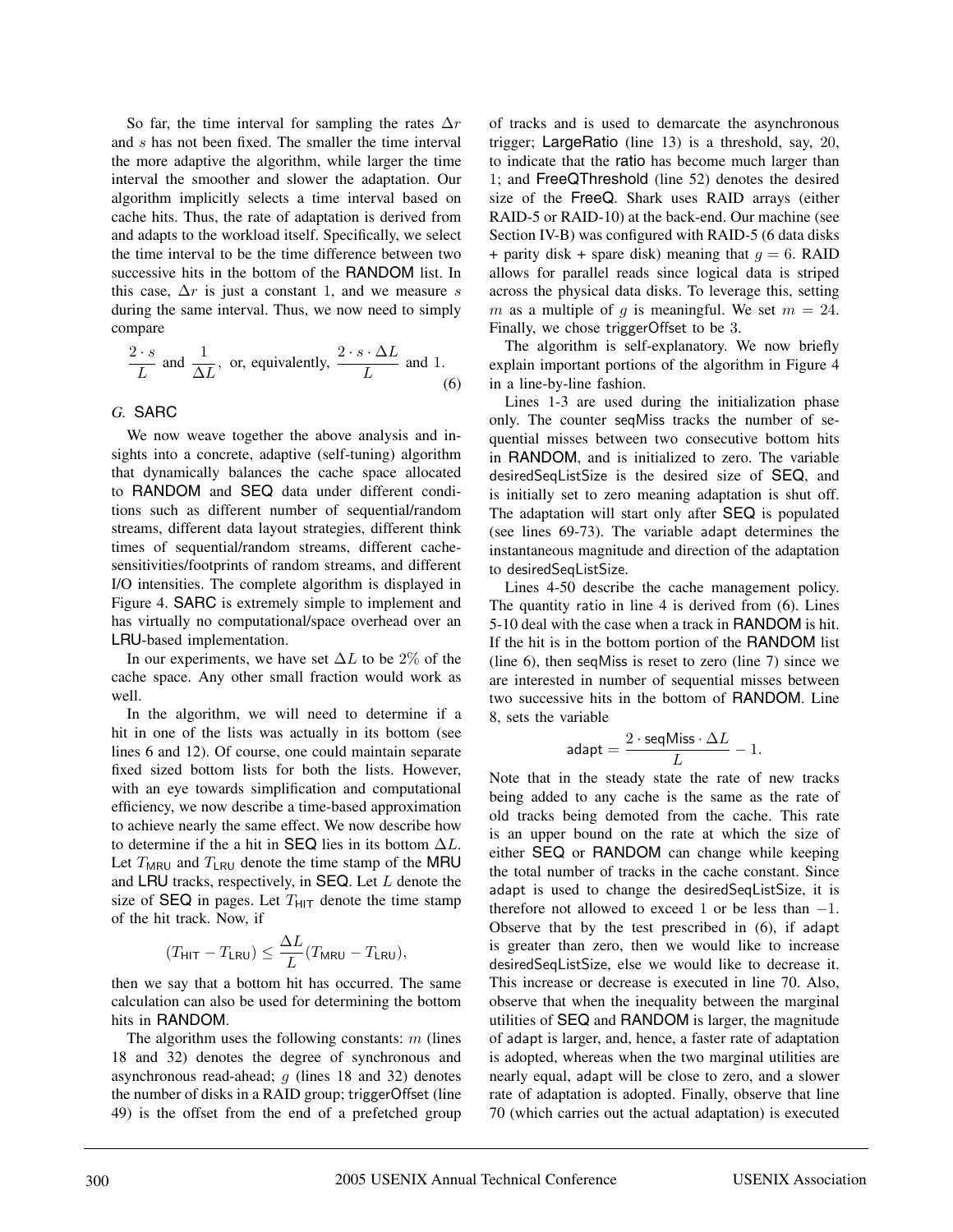So far, the time interval for sampling the rates  $\Delta r$ and s has not been fixed. The smaller the time interval the more adaptive the algorithm, while larger the time interval the smoother and slower the adaptation. Our algorithm implicitly selects a time interval based on cache hits. Thus, the rate of adaptation is derived from and adapts to the workload itself. Specifically, we select the time interval to be the time difference between two successive hits in the bottom of the RANDOM list. In this case,  $\Delta r$  is just a constant 1, and we measure s during the same interval. Thus, we now need to simply compare

$$
\frac{2 \cdot s}{L}
$$
 and  $\frac{1}{\Delta L}$ , or, equivalently,  $\frac{2 \cdot s \cdot \Delta L}{L}$  and 1. (6)

## *G.* SARC

We now weave together the above analysis and insights into a concrete, adaptive (self-tuning) algorithm that dynamically balances the cache space allocated to RANDOM and SEQ data under different conditions such as different number of sequential/random streams, different data layout strategies, different think times of sequential/random streams, different cachesensitivities/footprints of random streams, and different I/O intensities. The complete algorithm is displayed in Figure 4. SARC is extremely simple to implement and has virtually no computational/space overhead over an LRU-based implementation.

In our experiments, we have set  $\Delta L$  to be 2% of the cache space. Any other small fraction would work as well.

In the algorithm, we will need to determine if a hit in one of the lists was actually in its bottom (see lines 6 and 12). Of course, one could maintain separate fixed sized bottom lists for both the lists. However, with an eye towards simplification and computational efficiency, we now describe a time-based approximation to achieve nearly the same effect. We now describe how to determine if the a hit in SEQ lies in its bottom  $\Delta L$ . Let  $T<sub>MRU</sub>$  and  $T<sub>LRU</sub>$  denote the time stamp of the MRU and LRU tracks, respectively, in SEQ. Let  $L$  denote the size of SEQ in pages. Let  $T<sub>HIT</sub>$  denote the time stamp of the hit track. Now, if

$$
(T_{\mathsf{HIT}}-T_{\mathsf{LRU}})\leq \frac{\Delta L}{L}(T_{\mathsf{MRU}}-T_{\mathsf{LRU}}),
$$

then we say that a bottom hit has occurred. The same calculation can also be used for determining the bottom hits in RANDOM.

The algorithm uses the following constants:  $m$  (lines 18 and 32) denotes the degree of synchronous and asynchronous read-ahead;  $q$  (lines 18 and 32) denotes the number of disks in a RAID group; triggerOffset (line 49) is the offset from the end of a prefetched group of tracks and is used to demarcate the asynchronous trigger; LargeRatio (line 13) is a threshold, say, 20, to indicate that the ratio has become much larger than 1; and FreeQThreshold (line 52) denotes the desired size of the FreeQ. Shark uses RAID arrays (either RAID-5 or RAID-10) at the back-end. Our machine (see Section IV-B) was configured with RAID-5 (6 data disks + parity disk + spare disk) meaning that  $q = 6$ . RAID allows for parallel reads since logical data is striped across the physical data disks. To leverage this, setting m as a multiple of q is meaningful. We set  $m = 24$ . Finally, we chose triggerOffset to be 3.

The algorithm is self-explanatory. We now briefly explain important portions of the algorithm in Figure 4 in a line-by-line fashion.

Lines 1-3 are used during the initialization phase only. The counter seqMiss tracks the number of sequential misses between two consecutive bottom hits in RANDOM, and is initialized to zero. The variable desiredSeqListSize is the desired size of SEQ, and is initially set to zero meaning adaptation is shut off. The adaptation will start only after SEQ is populated (see lines 69-73). The variable adapt determines the instantaneous magnitude and direction of the adaptation to desiredSeqListSize.

Lines 4-50 describe the cache management policy. The quantity ratio in line 4 is derived from (6). Lines 5-10 deal with the case when a track in RANDOM is hit. If the hit is in the bottom portion of the RANDOM list (line 6), then seqMiss is reset to zero (line 7) since we are interested in number of sequential misses between two successive hits in the bottom of RANDOM. Line 8, sets the variable

$$
\mathsf{adapt} = \frac{2 \cdot \mathsf{seqMiss} \cdot \Delta L}{L} - 1.
$$

Note that in the steady state the rate of new tracks being added to any cache is the same as the rate of old tracks being demoted from the cache. This rate is an upper bound on the rate at which the size of either SEQ or RANDOM can change while keeping the total number of tracks in the cache constant. Since adapt is used to change the desiredSeqListSize, it is therefore not allowed to exceed 1 or be less than  $-1$ . Observe that by the test prescribed in (6), if adapt is greater than zero, then we would like to increase desiredSeqListSize, else we would like to decrease it. This increase or decrease is executed in line 70. Also, observe that when the inequality between the marginal utilities of SEQ and RANDOM is larger, the magnitude of adapt is larger, and, hence, a faster rate of adaptation is adopted, whereas when the two marginal utilities are nearly equal, adapt will be close to zero, and a slower rate of adaptation is adopted. Finally, observe that line 70 (which carries out the actual adaptation) is executed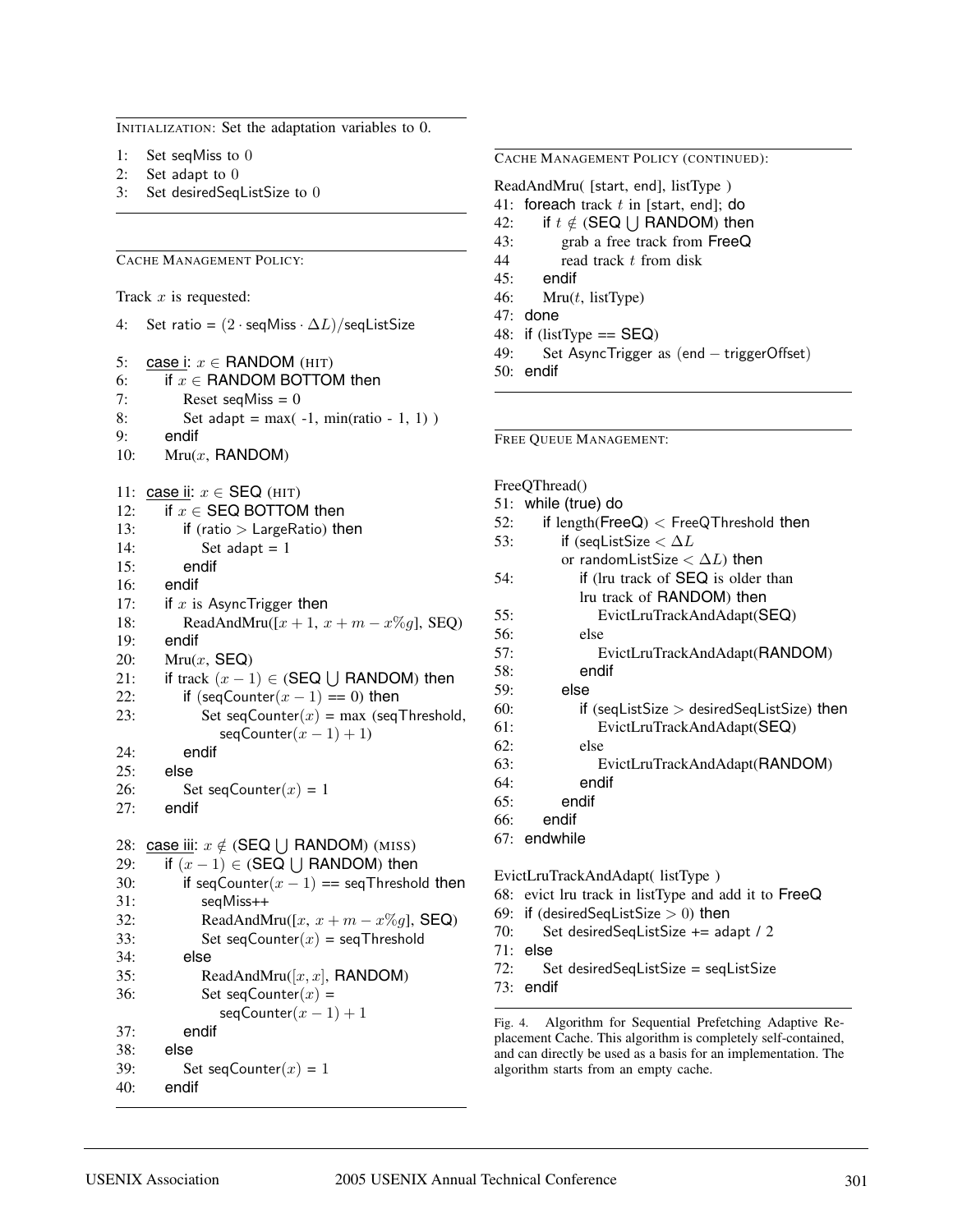INITIALIZATION: Set the adaptation variables to 0.

- 1: Set seqMiss to 0
- 2: Set adapt to 0
- 3: Set desiredSeqListSize to 0

CACHE MANAGEMENT POLICY:

Track  $x$  is requested:

4: Set ratio =  $(2 \cdot \text{seqMiss} \cdot \Delta L)/\text{seqListSize}$ 

```
5: case i: x \in RANDOM (HIT)
6: if x \in RANDOM BOTTOM then
7: Reset seqMiss = 08: Set adapt = max(-1, min(ratio - 1, 1))9: endif
10: Mru(x, RANDOM)
```

```
11: case ii: x \in \text{SEQ (HIT)}
```

```
12: if x \in SEQ BOTTOM then
13: if (ratio > LargeRatio) then
14: Set adapt = 115: endif
16: endif
17: if x is AsyncTrigger then
18: ReadAndMru([x + 1, x + m - x\%g], SEQ)
19: endif
20: Mru(x, SEQ)
21: if track (x - 1) \in (SEQ \cup \text{ RANDOM}) then
22: if (\text{seqCounter}(x-1) == 0) then
23: Set seqCounter(x) = max (seqThreshold,
             seqCounter(x - 1) + 1)24: endif
25: else
```

```
26: Set seqCounter(x) = 1
```

```
27: endif
```

```
28: case iii: x \notin (SEQ \cup RANDOM) (MISS)
```

```
29: if (x - 1) \in (SEQ \cup \text{RANDOM}) then
30: if seqCounter(x - 1) == seqThreshold then
31: seqMiss++
32: ReadAndMru([x, x + m - x\%g], SEQ)
33: Set seqCounter(x) = seqThreshold
34: else
35: ReadAndMru([x, x], RANDOM)
36: Set seqCounter(x) =
            seqCounter(x - 1) + 137: endif
38: else
39: Set seqCounter(x) = 1
```

```
40: endif
```
CACHE MANAGEMENT POLICY (CONTINUED):

ReadAndMru( [start, end], listType )

- 41: foreach track  $t$  in [start, end]; do
- 42: if  $t \notin (SEQ \cup RANDOM)$  then
- 43: grab a free track from FreeQ
- 44 read track t from disk
- 45: endif
- 46: Mru $(t, \text{ listType})$
- 47: done
- 48: if  $(listType == SEQ)$
- 49: Set AsyncTrigger as (end triggerOffset)
- 50: endif

FREE QUEUE MANAGEMENT:

```
FreeQThread()
51: while (true) do
52: if length(\text{FreeQ}) < FreeQThreshold then
53: if (seqListSize \langle \Delta L \rangleor randomListSize < \Delta L) then
54: if (lru track of SEQ is older than
          lru track of RANDOM) then
55: EvictLruTrackAndAdapt(SEQ)
56: else
57: EvictLruTrackAndAdapt(RANDOM)
58: endif
59: else
60: if (seqListSize > desiredSeqListSize) then
61: EvictLruTrackAndAdapt(SEQ)
62: else
63: EvictLruTrackAndAdapt(RANDOM)
64: endif
65: endif
66: endif
67: endwhile
EvictLruTrackAndAdapt( listType )
```
68: evict lru track in listType and add it to FreeQ

- 69: if (desiredSeqListSize  $> 0$ ) then
- 70: Set desiredSeqListSize += adapt / 2
- 71: else
- 72: Set desiredSeqListSize = seqListSize
- 73: endif

Fig. 4. Algorithm for Sequential Prefetching Adaptive Replacement Cache. This algorithm is completely self-contained, and can directly be used as a basis for an implementation. The algorithm starts from an empty cache.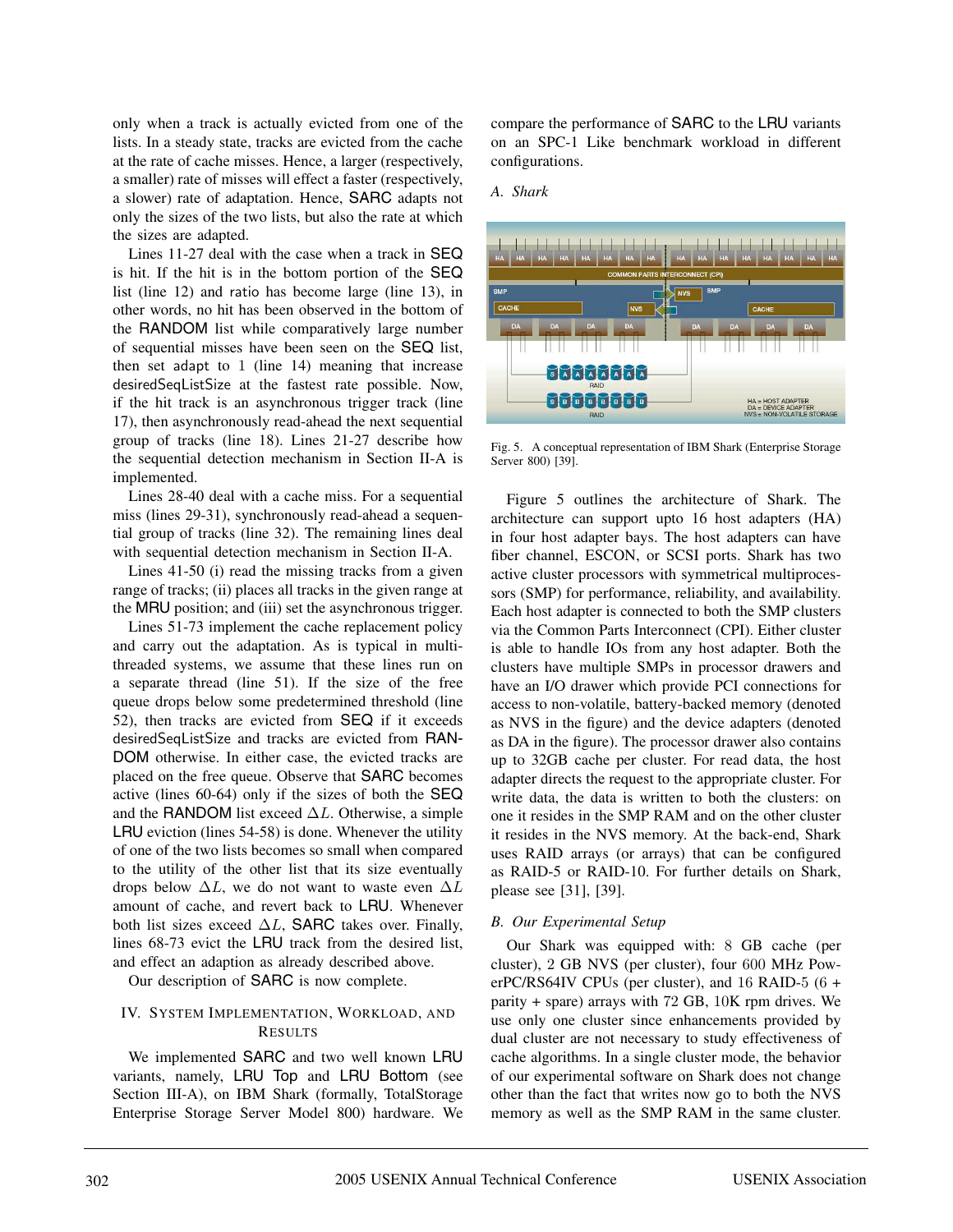only when a track is actually evicted from one of the lists. In a steady state, tracks are evicted from the cache at the rate of cache misses. Hence, a larger (respectively, a smaller) rate of misses will effect a faster (respectively, a slower) rate of adaptation. Hence, SARC adapts not only the sizes of the two lists, but also the rate at which the sizes are adapted.

Lines 11-27 deal with the case when a track in SEQ is hit. If the hit is in the bottom portion of the SEQ list (line 12) and ratio has become large (line 13), in other words, no hit has been observed in the bottom of the RANDOM list while comparatively large number of sequential misses have been seen on the SEQ list, then set adapt to  $1$  (line 14) meaning that increase desiredSeqListSize at the fastest rate possible. Now, if the hit track is an asynchronous trigger track (line 17), then asynchronously read-ahead the next sequential group of tracks (line 18). Lines 21-27 describe how the sequential detection mechanism in Section II-A is implemented.

Lines 28-40 deal with a cache miss. For a sequential miss (lines 29-31), synchronously read-ahead a sequential group of tracks (line 32). The remaining lines deal with sequential detection mechanism in Section II-A.

Lines 41-50 (i) read the missing tracks from a given range of tracks; (ii) places all tracks in the given range at the MRU position; and (iii) set the asynchronous trigger.

Lines 51-73 implement the cache replacement policy and carry out the adaptation. As is typical in multithreaded systems, we assume that these lines run on a separate thread (line 51). If the size of the free queue drops below some predetermined threshold (line 52), then tracks are evicted from SEQ if it exceeds desiredSeqListSize and tracks are evicted from RAN-DOM otherwise. In either case, the evicted tracks are placed on the free queue. Observe that SARC becomes active (lines 60-64) only if the sizes of both the SEQ and the RANDOM list exceed  $\Delta L$ . Otherwise, a simple LRU eviction (lines 54-58) is done. Whenever the utility of one of the two lists becomes so small when compared to the utility of the other list that its size eventually drops below  $\Delta L$ , we do not want to waste even  $\Delta L$ amount of cache, and revert back to LRU. Whenever both list sizes exceed  $\Delta L$ , SARC takes over. Finally, lines 68-73 evict the LRU track from the desired list, and effect an adaption as already described above.

Our description of SARC is now complete.

## IV. SYSTEM IMPLEMENTATION, WORKLOAD, AND RESULTS

We implemented SARC and two well known LRU variants, namely, LRU Top and LRU Bottom (see Section III-A), on IBM Shark (formally, TotalStorage Enterprise Storage Server Model 800) hardware. We

compare the performance of SARC to the LRU variants on an SPC-1 Like benchmark workload in different configurations.

#### *A. Shark*



Fig. 5. A conceptual representation of IBM Shark (Enterprise Storage Server 800) [39].

Figure 5 outlines the architecture of Shark. The architecture can support upto 16 host adapters (HA) in four host adapter bays. The host adapters can have fiber channel, ESCON, or SCSI ports. Shark has two active cluster processors with symmetrical multiprocessors (SMP) for performance, reliability, and availability. Each host adapter is connected to both the SMP clusters via the Common Parts Interconnect (CPI). Either cluster is able to handle IOs from any host adapter. Both the clusters have multiple SMPs in processor drawers and have an I/O drawer which provide PCI connections for access to non-volatile, battery-backed memory (denoted as NVS in the figure) and the device adapters (denoted as DA in the figure). The processor drawer also contains up to 32GB cache per cluster. For read data, the host adapter directs the request to the appropriate cluster. For write data, the data is written to both the clusters: on one it resides in the SMP RAM and on the other cluster it resides in the NVS memory. At the back-end, Shark uses RAID arrays (or arrays) that can be configured as RAID-5 or RAID-10. For further details on Shark, please see [31], [39].

#### *B. Our Experimental Setup*

Our Shark was equipped with: 8 GB cache (per cluster), 2 GB NVS (per cluster), four 600 MHz PowerPC/RS64IV CPUs (per cluster), and 16 RAID-5 (6 + parity + spare) arrays with 72 GB, 10K rpm drives. We use only one cluster since enhancements provided by dual cluster are not necessary to study effectiveness of cache algorithms. In a single cluster mode, the behavior of our experimental software on Shark does not change other than the fact that writes now go to both the NVS memory as well as the SMP RAM in the same cluster.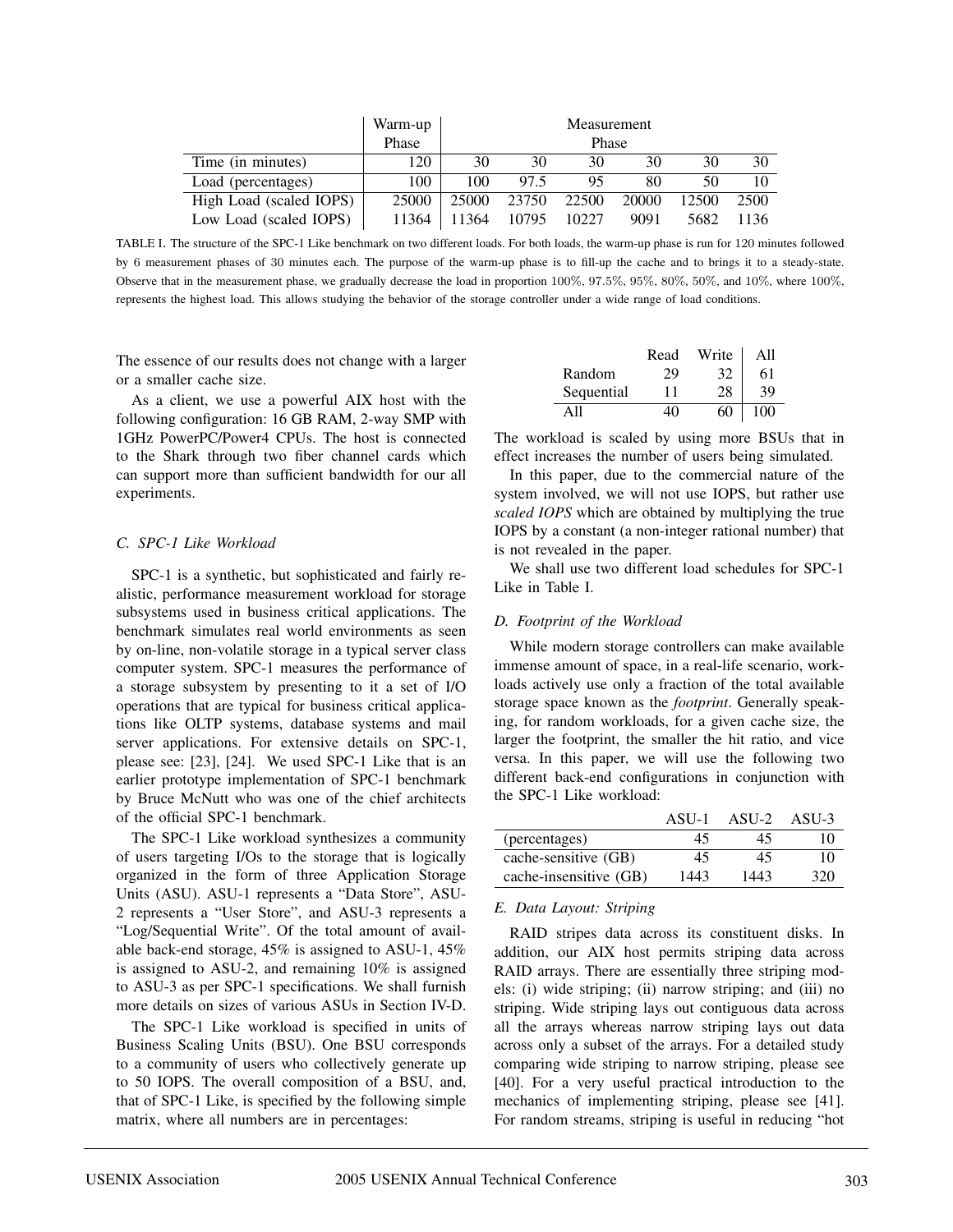|                         | Warm-up | Measurement |       |       |       |       |      |
|-------------------------|---------|-------------|-------|-------|-------|-------|------|
|                         | Phase   | Phase       |       |       |       |       |      |
| Time (in minutes)       | 120     | 30          | 30    | 30    | 30    | 30    | 30   |
| Load (percentages)      | 100     | 100         | 97.5  | 95    | 80    | 50    |      |
| High Load (scaled IOPS) | 25000   | 25000       | 23750 | 22500 | 20000 | 12500 | 2500 |
| Low Load (scaled IOPS)  | 11364   | 11364       | 10795 | 10227 | 9091  | 5682  | 1136 |

TABLE I. The structure of the SPC-1 Like benchmark on two different loads. For both loads, the warm-up phase is run for 120 minutes followed by 6 measurement phases of 30 minutes each. The purpose of the warm-up phase is to fill-up the cache and to brings it to a steady-state. Observe that in the measurement phase, we gradually decrease the load in proportion 100%, 97.5%, 95%, 80%, 50%, and 10%, where 100%, represents the highest load. This allows studying the behavior of the storage controller under a wide range of load conditions.

The essence of our results does not change with a larger or a smaller cache size.

As a client, we use a powerful AIX host with the following configuration: 16 GB RAM, 2-way SMP with 1GHz PowerPC/Power4 CPUs. The host is connected to the Shark through two fiber channel cards which can support more than sufficient bandwidth for our all experiments.

## *C. SPC-1 Like Workload*

SPC-1 is a synthetic, but sophisticated and fairly realistic, performance measurement workload for storage subsystems used in business critical applications. The benchmark simulates real world environments as seen by on-line, non-volatile storage in a typical server class computer system. SPC-1 measures the performance of a storage subsystem by presenting to it a set of I/O operations that are typical for business critical applications like OLTP systems, database systems and mail server applications. For extensive details on SPC-1, please see: [23], [24]. We used SPC-1 Like that is an earlier prototype implementation of SPC-1 benchmark by Bruce McNutt who was one of the chief architects of the official SPC-1 benchmark.

The SPC-1 Like workload synthesizes a community of users targeting I/Os to the storage that is logically organized in the form of three Application Storage Units (ASU). ASU-1 represents a "Data Store", ASU-2 represents a "User Store", and ASU-3 represents a "Log/Sequential Write". Of the total amount of available back-end storage, 45% is assigned to ASU-1, 45% is assigned to ASU-2, and remaining 10% is assigned to ASU-3 as per SPC-1 specifications. We shall furnish more details on sizes of various ASUs in Section IV-D.

The SPC-1 Like workload is specified in units of Business Scaling Units (BSU). One BSU corresponds to a community of users who collectively generate up to 50 IOPS. The overall composition of a BSU, and, that of SPC-1 Like, is specified by the following simple matrix, where all numbers are in percentages:

|            | Read | Write | A11 |
|------------|------|-------|-----|
| Random     | 29   | 32    | 61  |
| Sequential | 11   | 28    | 39  |
|            |      | 60    | 100 |

The workload is scaled by using more BSUs that in effect increases the number of users being simulated.

In this paper, due to the commercial nature of the system involved, we will not use IOPS, but rather use *scaled IOPS* which are obtained by multiplying the true IOPS by a constant (a non-integer rational number) that is not revealed in the paper.

We shall use two different load schedules for SPC-1 Like in Table I.

### *D. Footprint of the Workload*

While modern storage controllers can make available immense amount of space, in a real-life scenario, workloads actively use only a fraction of the total available storage space known as the *footprint*. Generally speaking, for random workloads, for a given cache size, the larger the footprint, the smaller the hit ratio, and vice versa. In this paper, we will use the following two different back-end configurations in conjunction with the SPC-1 Like workload:

|                        | ASU-1 | $ASU-2$ | ASU-3 |
|------------------------|-------|---------|-------|
| (percentages)          | 45    | 45      | 10    |
| cache-sensitive (GB)   | 45    | 45      | 10    |
| cache-insensitive (GB) | 1443  | 1443    | 320   |

## *E. Data Layout: Striping*

RAID stripes data across its constituent disks. In addition, our AIX host permits striping data across RAID arrays. There are essentially three striping models: (i) wide striping; (ii) narrow striping; and (iii) no striping. Wide striping lays out contiguous data across all the arrays whereas narrow striping lays out data across only a subset of the arrays. For a detailed study comparing wide striping to narrow striping, please see [40]. For a very useful practical introduction to the mechanics of implementing striping, please see [41]. For random streams, striping is useful in reducing "hot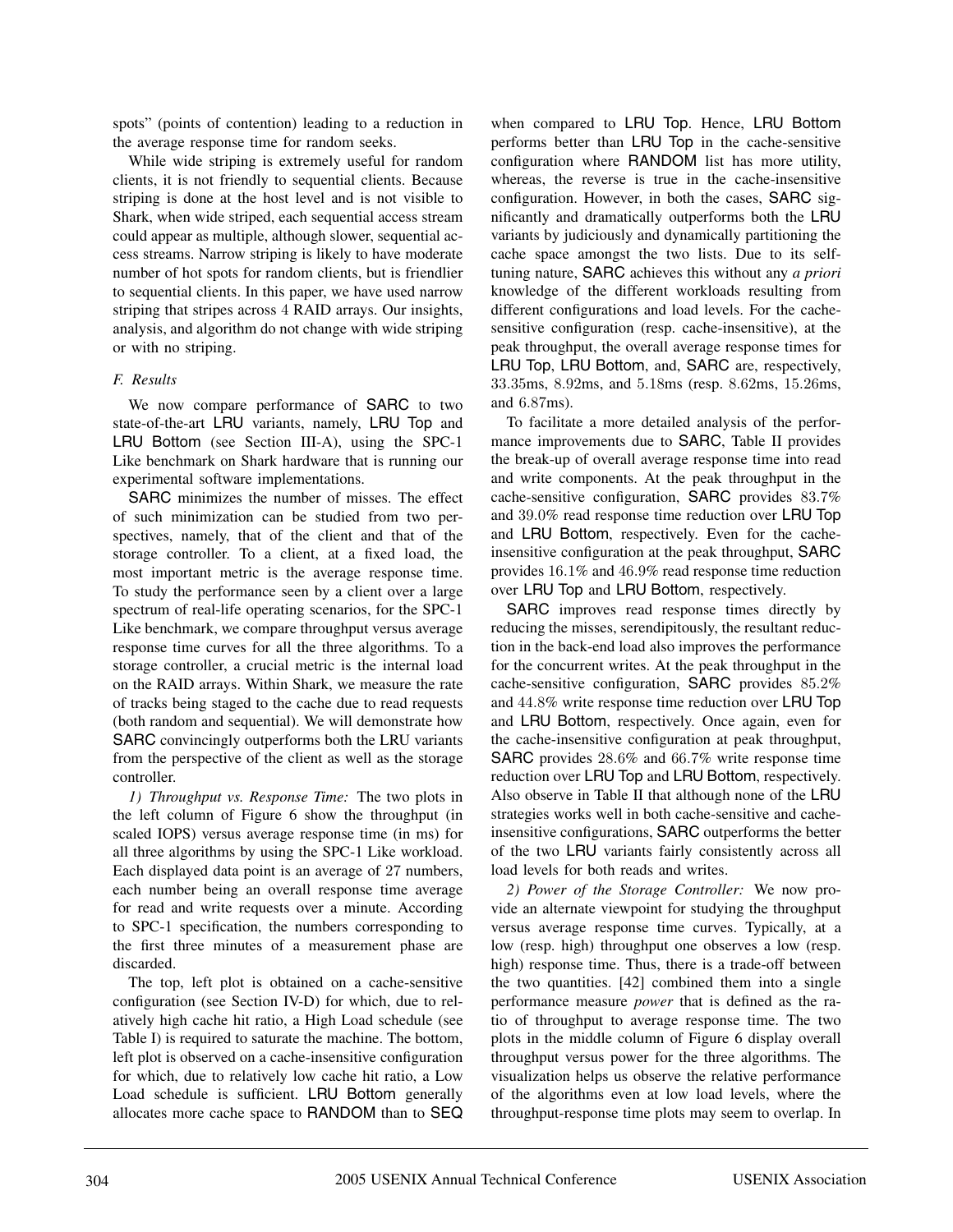spots" (points of contention) leading to a reduction in the average response time for random seeks.

While wide striping is extremely useful for random clients, it is not friendly to sequential clients. Because striping is done at the host level and is not visible to Shark, when wide striped, each sequential access stream could appear as multiple, although slower, sequential access streams. Narrow striping is likely to have moderate number of hot spots for random clients, but is friendlier to sequential clients. In this paper, we have used narrow striping that stripes across 4 RAID arrays. Our insights, analysis, and algorithm do not change with wide striping or with no striping.

#### *F. Results*

We now compare performance of SARC to two state-of-the-art LRU variants, namely, LRU Top and LRU Bottom (see Section III-A), using the SPC-1 Like benchmark on Shark hardware that is running our experimental software implementations.

SARC minimizes the number of misses. The effect of such minimization can be studied from two perspectives, namely, that of the client and that of the storage controller. To a client, at a fixed load, the most important metric is the average response time. To study the performance seen by a client over a large spectrum of real-life operating scenarios, for the SPC-1 Like benchmark, we compare throughput versus average response time curves for all the three algorithms. To a storage controller, a crucial metric is the internal load on the RAID arrays. Within Shark, we measure the rate of tracks being staged to the cache due to read requests (both random and sequential). We will demonstrate how SARC convincingly outperforms both the LRU variants from the perspective of the client as well as the storage controller.

*1) Throughput vs. Response Time:* The two plots in the left column of Figure 6 show the throughput (in scaled IOPS) versus average response time (in ms) for all three algorithms by using the SPC-1 Like workload. Each displayed data point is an average of 27 numbers, each number being an overall response time average for read and write requests over a minute. According to SPC-1 specification, the numbers corresponding to the first three minutes of a measurement phase are discarded.

The top, left plot is obtained on a cache-sensitive configuration (see Section IV-D) for which, due to relatively high cache hit ratio, a High Load schedule (see Table I) is required to saturate the machine. The bottom, left plot is observed on a cache-insensitive configuration for which, due to relatively low cache hit ratio, a Low Load schedule is sufficient. LRU Bottom generally allocates more cache space to RANDOM than to SEQ

when compared to LRU Top. Hence, LRU Bottom performs better than LRU Top in the cache-sensitive configuration where RANDOM list has more utility, whereas, the reverse is true in the cache-insensitive configuration. However, in both the cases, SARC significantly and dramatically outperforms both the LRU variants by judiciously and dynamically partitioning the cache space amongst the two lists. Due to its selftuning nature, SARC achieves this without any *a priori* knowledge of the different workloads resulting from different configurations and load levels. For the cachesensitive configuration (resp. cache-insensitive), at the peak throughput, the overall average response times for LRU Top, LRU Bottom, and, SARC are, respectively, 33.35ms, 8.92ms, and 5.18ms (resp. 8.62ms, 15.26ms, and 6.87ms).

To facilitate a more detailed analysis of the performance improvements due to SARC, Table II provides the break-up of overall average response time into read and write components. At the peak throughput in the cache-sensitive configuration, SARC provides 83.7% and 39.0% read response time reduction over LRU Top and LRU Bottom, respectively. Even for the cacheinsensitive configuration at the peak throughput, SARC provides 16.1% and 46.9% read response time reduction over LRU Top and LRU Bottom, respectively.

SARC improves read response times directly by reducing the misses, serendipitously, the resultant reduction in the back-end load also improves the performance for the concurrent writes. At the peak throughput in the cache-sensitive configuration, SARC provides 85.2% and 44.8% write response time reduction over LRU Top and LRU Bottom, respectively. Once again, even for the cache-insensitive configuration at peak throughput, SARC provides 28.6% and 66.7% write response time reduction over LRU Top and LRU Bottom, respectively. Also observe in Table II that although none of the LRU strategies works well in both cache-sensitive and cacheinsensitive configurations, SARC outperforms the better of the two LRU variants fairly consistently across all load levels for both reads and writes.

*2) Power of the Storage Controller:* We now provide an alternate viewpoint for studying the throughput versus average response time curves. Typically, at a low (resp. high) throughput one observes a low (resp. high) response time. Thus, there is a trade-off between the two quantities. [42] combined them into a single performance measure *power* that is defined as the ratio of throughput to average response time. The two plots in the middle column of Figure 6 display overall throughput versus power for the three algorithms. The visualization helps us observe the relative performance of the algorithms even at low load levels, where the throughput-response time plots may seem to overlap. In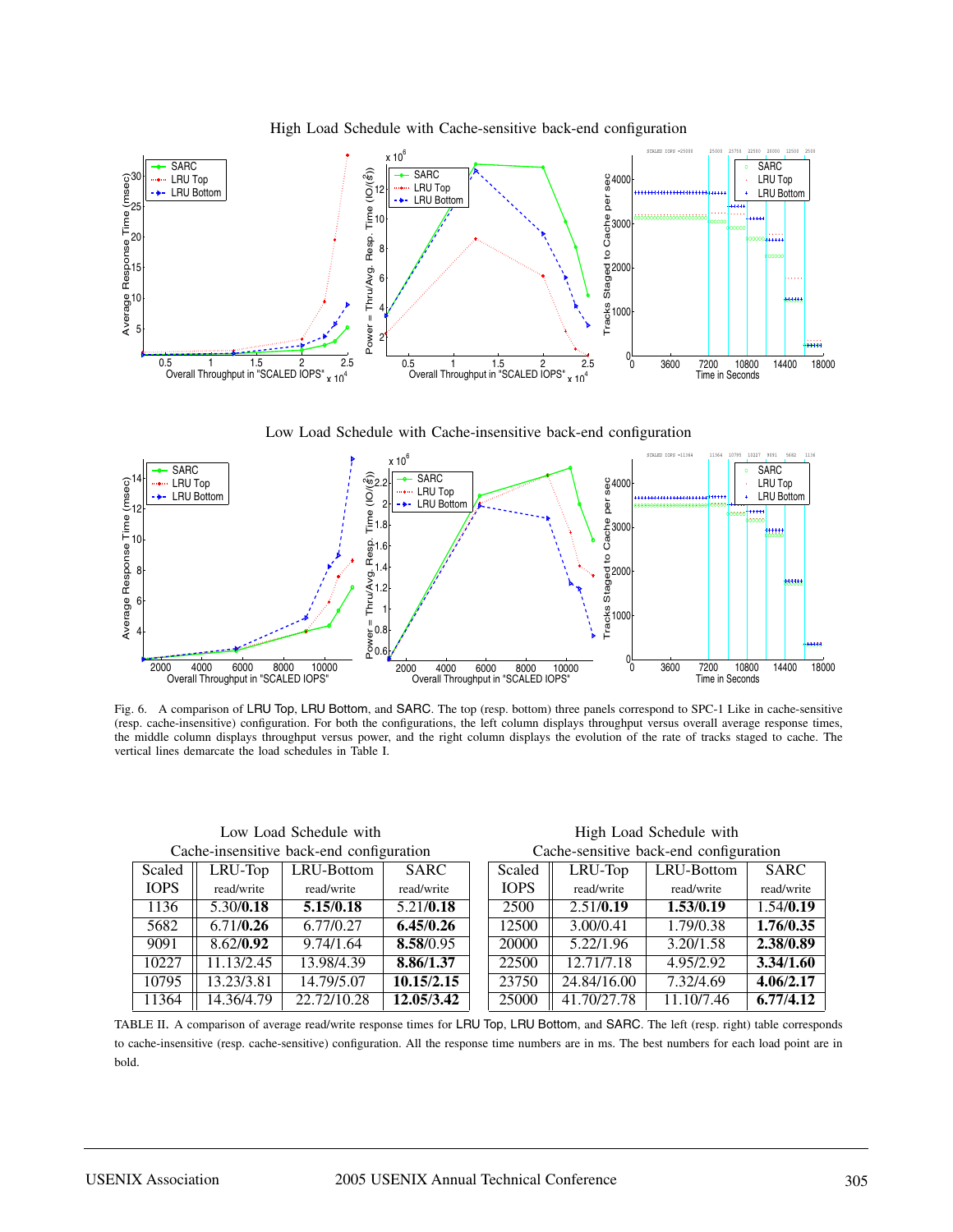

High Load Schedule with Cache-sensitive back-end configuration





Fig. 6. A comparison of LRU Top, LRU Bottom, and SARC. The top (resp. bottom) three panels correspond to SPC-1 Like in cache-sensitive (resp. cache-insensitive) configuration. For both the configurations, the left column displays throughput versus overall average response times, the middle column displays throughput versus power, and the right column displays the evolution of the rate of tracks staged to cache. The vertical lines demarcate the load schedules in Table I.

| Cache-insensitive back-end configuration |            |             |            | Cache-sensitive back-end configuration |             |            |             |
|------------------------------------------|------------|-------------|------------|----------------------------------------|-------------|------------|-------------|
| Scaled                                   | LRU-Top    | LRU-Bottom  | SARC       | Scaled                                 | LRU-Top     | LRU-Bottom | <b>SARC</b> |
| <b>IOPS</b>                              | read/write | read/write  | read/write | <b>TOPS</b>                            | read/write  | read/write | read/write  |
| 1136                                     | 5.30/0.18  | 5.15/0.18   | 5.21/0.18  | 2500                                   | 2.51/0.19   | 1.53/0.19  | 1.54/0.19   |
| 5682                                     | 6.71/0.26  | 6.77/0.27   | 6.45/0.26  | 12500                                  | 3.00/0.41   | 1.79/0.38  | 1.76/0.35   |
| 9091                                     | 8.62/0.92  | 9.74/1.64   | 8.58/0.95  | 20000                                  | 5.22/1.96   | 3.20/1.58  | 2.38/0.89   |
| 10227                                    | 1.13/2.45  | 13.98/4.39  | 8.86/1.37  | 22500                                  | 12.71/7.18  | 4.95/2.92  | 3.34/1.60   |
| 10795                                    | 13.23/3.81 | 14.79/5.07  | 10.15/2.15 | 23750                                  | 24.84/16.00 | 7.32/4.69  | 4.06/2.17   |
| 11364                                    | 14.36/4.79 | 22.72/10.28 | 12.05/3.42 | 25000                                  | 41.70/27.78 | 11.10/7.46 | 6.77/4.12   |

Low Load Schedule with **High Load Schedule with** High Load Schedule with Cache-sensitive back-end configuration

| Cache mochontre back che configuration |            |             |             |  | cache schister out che configuration |             |            |             |  |
|----------------------------------------|------------|-------------|-------------|--|--------------------------------------|-------------|------------|-------------|--|
| Scaled                                 | LRU-Top    | LRU-Bottom  | <b>SARC</b> |  | Scaled                               | LRU-Top     | LRU-Bottom | <b>SARC</b> |  |
| IOPS                                   | read/write | read/write  | read/write  |  | <b>IOPS</b>                          | read/write  | read/write | read/write  |  |
| 1136                                   | 5.30/0.18  | 5.15/0.18   | 5.21/0.18   |  | 2500                                 | 2.51/0.19   | 1.53/0.19  | 1.54/0.19   |  |
| 5682                                   | 6.71/0.26  | 6.77/0.27   | 6.45/0.26   |  | 12500                                | 3.00/0.41   | 1.79/0.38  | 1.76/0.35   |  |
| 9091                                   | 8.62/0.92  | 9.74/1.64   | 8.58/0.95   |  | 20000                                | 5.22/1.96   | 3.20/1.58  | 2.38/0.89   |  |
| 0227                                   | 11.13/2.45 | 13.98/4.39  | 8.86/1.37   |  | 22500                                | 12.71/7.18  | 4.95/2.92  | 3.34/1.60   |  |
| 10795                                  | 13.23/3.81 | 14.79/5.07  | 10.15/2.15  |  | 23750                                | 24.84/16.00 | 7.32/4.69  | 4.06/2.17   |  |
| 1364                                   | 14.36/4.79 | 22.72/10.28 | 12.05/3.42  |  | 25000                                | 41.70/27.78 | 11.10/7.46 | 6.77/4.12   |  |

TABLE II. A comparison of average read/write response times for LRU Top, LRU Bottom, and SARC. The left (resp. right) table corresponds to cache-insensitive (resp. cache-sensitive) configuration. All the response time numbers are in ms. The best numbers for each load point are in bold.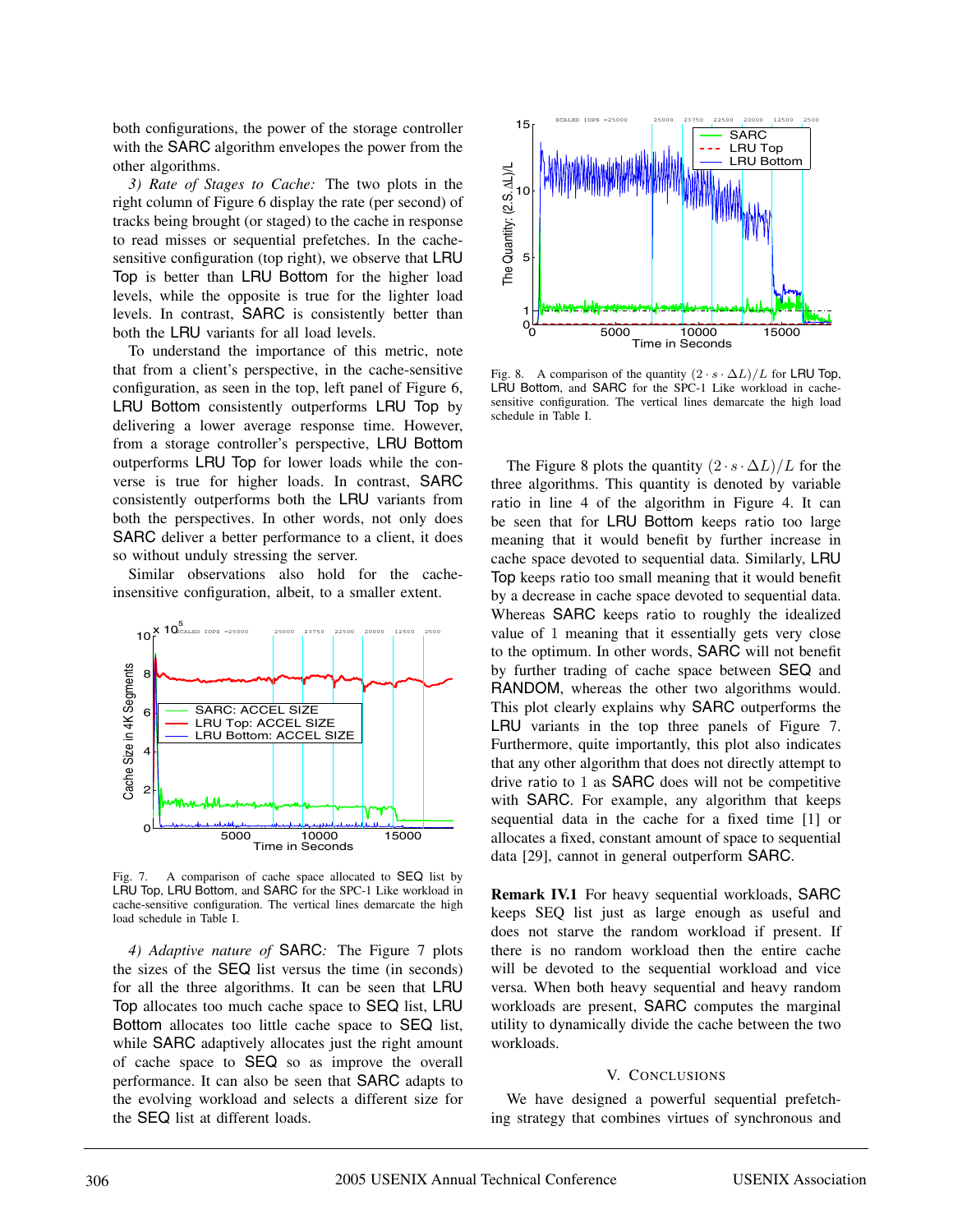both configurations, the power of the storage controller with the SARC algorithm envelopes the power from the other algorithms.

*3) Rate of Stages to Cache:* The two plots in the right column of Figure 6 display the rate (per second) of tracks being brought (or staged) to the cache in response to read misses or sequential prefetches. In the cachesensitive configuration (top right), we observe that LRU Top is better than LRU Bottom for the higher load levels, while the opposite is true for the lighter load levels. In contrast, SARC is consistently better than both the LRU variants for all load levels.

To understand the importance of this metric, note that from a client's perspective, in the cache-sensitive configuration, as seen in the top, left panel of Figure 6, LRU Bottom consistently outperforms LRU Top by delivering a lower average response time. However, from a storage controller's perspective, LRU Bottom outperforms LRU Top for lower loads while the converse is true for higher loads. In contrast, SARC consistently outperforms both the LRU variants from both the perspectives. In other words, not only does SARC deliver a better performance to a client, it does so without unduly stressing the server.

Similar observations also hold for the cacheinsensitive configuration, albeit, to a smaller extent.



Fig. 7. A comparison of cache space allocated to SEQ list by LRU Top, LRU Bottom, and SARC for the SPC-1 Like workload in cache-sensitive configuration. The vertical lines demarcate the high load schedule in Table I.

*4) Adaptive nature of* SARC*:* The Figure 7 plots the sizes of the SEQ list versus the time (in seconds) for all the three algorithms. It can be seen that LRU Top allocates too much cache space to SEQ list, LRU Bottom allocates too little cache space to SEQ list, while SARC adaptively allocates just the right amount of cache space to SEQ so as improve the overall performance. It can also be seen that SARC adapts to the evolving workload and selects a different size for the SEQ list at different loads.



Fig. 8. A comparison of the quantity  $(2 \cdot s \cdot \Delta L)/L$  for LRU Top, LRU Bottom, and SARC for the SPC-1 Like workload in cachesensitive configuration. The vertical lines demarcate the high load schedule in Table I.

The Figure 8 plots the quantity  $(2 \cdot s \cdot \Delta L)/L$  for the three algorithms. This quantity is denoted by variable ratio in line 4 of the algorithm in Figure 4. It can be seen that for LRU Bottom keeps ratio too large meaning that it would benefit by further increase in cache space devoted to sequential data. Similarly, LRU Top keeps ratio too small meaning that it would benefit by a decrease in cache space devoted to sequential data. Whereas SARC keeps ratio to roughly the idealized value of 1 meaning that it essentially gets very close to the optimum. In other words, SARC will not benefit by further trading of cache space between SEQ and RANDOM, whereas the other two algorithms would. This plot clearly explains why SARC outperforms the LRU variants in the top three panels of Figure 7. Furthermore, quite importantly, this plot also indicates that any other algorithm that does not directly attempt to drive ratio to 1 as SARC does will not be competitive with **SARC**. For example, any algorithm that keeps sequential data in the cache for a fixed time [1] or allocates a fixed, constant amount of space to sequential data [29], cannot in general outperform SARC.

**Remark IV.1** For heavy sequential workloads, SARC keeps SEQ list just as large enough as useful and does not starve the random workload if present. If there is no random workload then the entire cache will be devoted to the sequential workload and vice versa. When both heavy sequential and heavy random workloads are present, SARC computes the marginal utility to dynamically divide the cache between the two workloads.

#### V. CONCLUSIONS

We have designed a powerful sequential prefetching strategy that combines virtues of synchronous and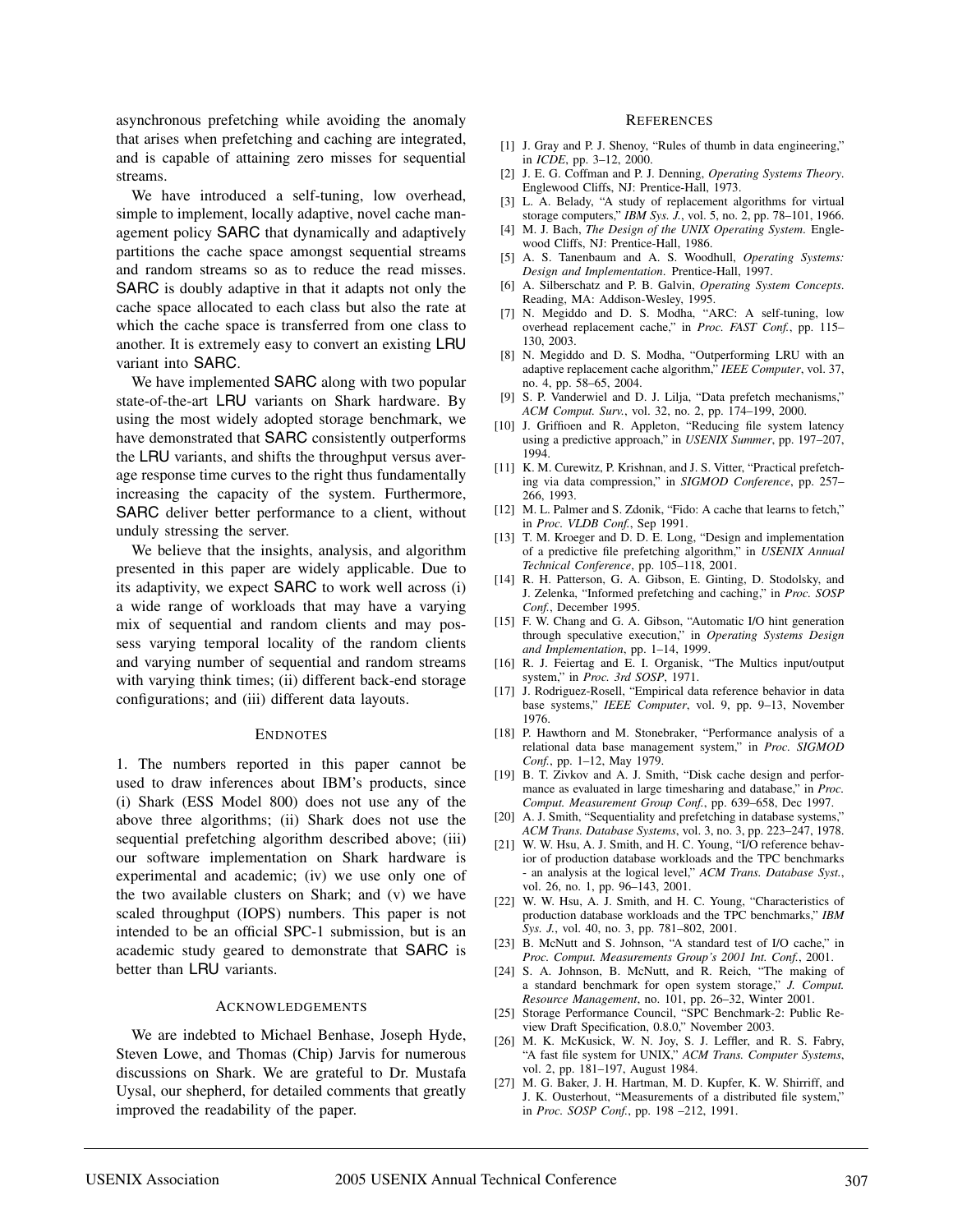asynchronous prefetching while avoiding the anomaly that arises when prefetching and caching are integrated, and is capable of attaining zero misses for sequential streams.

We have introduced a self-tuning, low overhead, simple to implement, locally adaptive, novel cache management policy SARC that dynamically and adaptively partitions the cache space amongst sequential streams and random streams so as to reduce the read misses. SARC is doubly adaptive in that it adapts not only the cache space allocated to each class but also the rate at which the cache space is transferred from one class to another. It is extremely easy to convert an existing LRU variant into SARC.

We have implemented SARC along with two popular state-of-the-art LRU variants on Shark hardware. By using the most widely adopted storage benchmark, we have demonstrated that SARC consistently outperforms the LRU variants, and shifts the throughput versus average response time curves to the right thus fundamentally increasing the capacity of the system. Furthermore, SARC deliver better performance to a client, without unduly stressing the server.

We believe that the insights, analysis, and algorithm presented in this paper are widely applicable. Due to its adaptivity, we expect SARC to work well across (i) a wide range of workloads that may have a varying mix of sequential and random clients and may possess varying temporal locality of the random clients and varying number of sequential and random streams with varying think times; (ii) different back-end storage configurations; and (iii) different data layouts.

#### ENDNOTES

1. The numbers reported in this paper cannot be used to draw inferences about IBM's products, since (i) Shark (ESS Model 800) does not use any of the above three algorithms; (ii) Shark does not use the sequential prefetching algorithm described above; (iii) our software implementation on Shark hardware is experimental and academic; (iv) we use only one of the two available clusters on Shark; and (v) we have scaled throughput (IOPS) numbers. This paper is not intended to be an official SPC-1 submission, but is an academic study geared to demonstrate that SARC is better than LRU variants.

#### **ACKNOWLEDGEMENTS**

We are indebted to Michael Benhase, Joseph Hyde, Steven Lowe, and Thomas (Chip) Jarvis for numerous discussions on Shark. We are grateful to Dr. Mustafa Uysal, our shepherd, for detailed comments that greatly improved the readability of the paper.

#### **REFERENCES**

- [1] J. Gray and P. J. Shenoy, "Rules of thumb in data engineering," in *ICDE*, pp. 3–12, 2000.
- [2] J. E. G. Coffman and P. J. Denning, *Operating Systems Theory*. Englewood Cliffs, NJ: Prentice-Hall, 1973.
- [3] L. A. Belady, "A study of replacement algorithms for virtual storage computers," *IBM Sys. J.*, vol. 5, no. 2, pp. 78–101, 1966.
- [4] M. J. Bach, *The Design of the UNIX Operating System*. Englewood Cliffs, NJ: Prentice-Hall, 1986.
- [5] A. S. Tanenbaum and A. S. Woodhull, *Operating Systems: Design and Implementation*. Prentice-Hall, 1997.
- [6] A. Silberschatz and P. B. Galvin, *Operating System Concepts*. Reading, MA: Addison-Wesley, 1995.
- [7] N. Megiddo and D. S. Modha, "ARC: A self-tuning, low overhead replacement cache," in *Proc. FAST Conf.*, pp. 115– 130, 2003.
- [8] N. Megiddo and D. S. Modha, "Outperforming LRU with an adaptive replacement cache algorithm," *IEEE Computer*, vol. 37, no. 4, pp. 58–65, 2004.
- [9] S. P. Vanderwiel and D. J. Lilja, "Data prefetch mechanisms," *ACM Comput. Surv.*, vol. 32, no. 2, pp. 174–199, 2000.
- [10] J. Griffioen and R. Appleton, "Reducing file system latency using a predictive approach," in *USENIX Summer*, pp. 197–207, 1994.
- [11] K. M. Curewitz, P. Krishnan, and J. S. Vitter, "Practical prefetching via data compression," in *SIGMOD Conference*, pp. 257– 266, 1993.
- [12] M. L. Palmer and S. Zdonik, "Fido: A cache that learns to fetch," in *Proc. VLDB Conf.*, Sep 1991.
- [13] T. M. Kroeger and D. D. E. Long, "Design and implementation of a predictive file prefetching algorithm," in *USENIX Annual Technical Conference*, pp. 105–118, 2001.
- [14] R. H. Patterson, G. A. Gibson, E. Ginting, D. Stodolsky, and J. Zelenka, "Informed prefetching and caching," in *Proc. SOSP Conf.*, December 1995.
- [15] F. W. Chang and G. A. Gibson, "Automatic I/O hint generation through speculative execution," in *Operating Systems Design and Implementation*, pp. 1–14, 1999.
- [16] R. J. Feiertag and E. I. Organisk, "The Multics input/output system," in *Proc. 3rd SOSP*, 1971.
- [17] J. Rodriguez-Rosell, "Empirical data reference behavior in data base systems," *IEEE Computer*, vol. 9, pp. 9–13, November 1976.
- [18] P. Hawthorn and M. Stonebraker, "Performance analysis of a relational data base management system," in *Proc. SIGMOD Conf.*, pp. 1–12, May 1979.
- [19] B. T. Zivkov and A. J. Smith, "Disk cache design and performance as evaluated in large timesharing and database," in *Proc. Comput. Measurement Group Conf.*, pp. 639–658, Dec 1997.
- [20] A. J. Smith, "Sequentiality and prefetching in database systems," *ACM Trans. Database Systems*, vol. 3, no. 3, pp. 223–247, 1978.
- [21] W. W. Hsu, A. J. Smith, and H. C. Young, "I/O reference behavior of production database workloads and the TPC benchmarks - an analysis at the logical level," *ACM Trans. Database Syst.*, vol. 26, no. 1, pp. 96–143, 2001.
- [22] W. W. Hsu, A. J. Smith, and H. C. Young, "Characteristics of production database workloads and the TPC benchmarks," *IBM Sys. J.*, vol. 40, no. 3, pp. 781–802, 2001.
- [23] B. McNutt and S. Johnson, "A standard test of I/O cache," in *Proc. Comput. Measurements Group's 2001 Int. Conf.*, 2001.
- [24] S. A. Johnson, B. McNutt, and R. Reich, "The making of a standard benchmark for open system storage," *J. Comput. Resource Management*, no. 101, pp. 26–32, Winter 2001.
- [25] Storage Performance Council, "SPC Benchmark-2: Public Review Draft Specification, 0.8.0," November 2003.
- [26] M. K. McKusick, W. N. Joy, S. J. Leffler, and R. S. Fabry, "A fast file system for UNIX," *ACM Trans. Computer Systems*, vol. 2, pp. 181–197, August 1984.
- [27] M. G. Baker, J. H. Hartman, M. D. Kupfer, K. W. Shirriff, and J. K. Ousterhout, "Measurements of a distributed file system," in *Proc. SOSP Conf.*, pp. 198 –212, 1991.